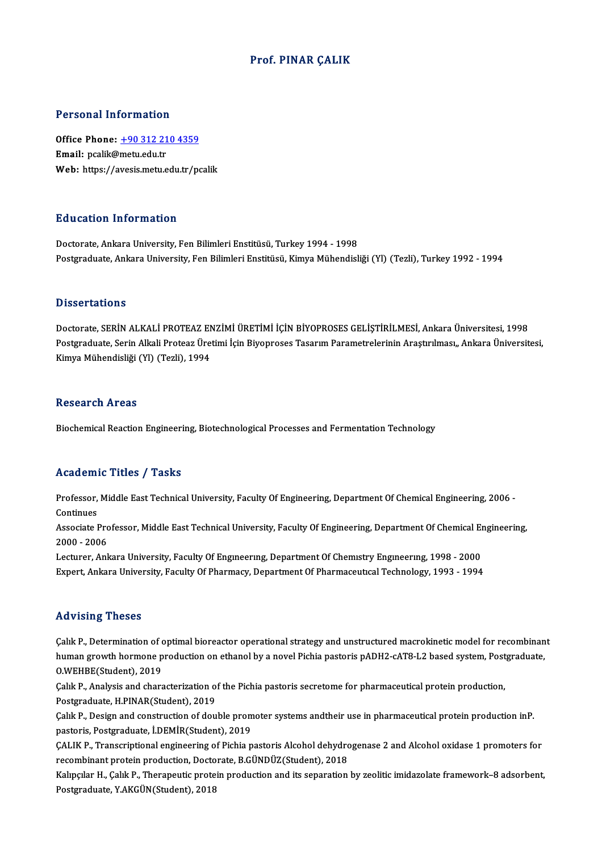### Prof. PINAR ÇALIK

#### Personal Information

Personal Information<br>Office Phone: <u>+90 312 210 4359</u><br>Email: nealik@metu.edu.tr Fersonar information<br>Office Phone: <u>+90 312 21</u><br>Email: pcalik@metu.edu.tr Email: pcalik@metu.edu.tr<br>Web: https://a[vesis.metu.edu.tr/p](tel:+90 312 210 4359)calik

#### Education Information

Doctorate, Ankara University, Fen Bilimleri Enstitüsü, Turkey 1994 - 1998 Postgraduate, Ankara University, Fen Bilimleri Enstitüsü, Kimya Mühendisliği (Yl) (Tezli), Turkey 1992 - 1994

#### **Dissertations**

Dissertations<br>Doctorate, SERİN ALKALİ PROTEAZ ENZİMİ ÜRETİMİ İÇİN BİYOPROSES GELİŞTİRİLMESİ, Ankara Üniversitesi, 1998<br>Postaradusta Sarin Alkali Protess Üretimi İsin Biyoproses Tesarım Barametralerinin Arastrulmesu, Ankara D'isser tatroffs<br>Doctorate, SERİN ALKALİ PROTEAZ ENZİMİ ÜRETİMİ İÇİN BİYOPROSES GELİŞTİRİLMESİ, Ankara Üniversitesi, 1998<br>Postgraduate, Serin Alkali Proteaz Üretimi İçin Biyoproses Tasarım Parametrelerinin Araştırılması,, Doctorate, SERİN ALKALİ PROTEAZ EN<br>Postgraduate, Serin Alkali Proteaz Üre<br>Kimya Mühendisliği (Yl) (Tezli), 1994 Kimya Mühendisliği (Yl) (Tezli), 1994<br>Research Areas

Biochemical Reaction Engineering, Biotechnological Processes and Fermentation Technology

### Academic Titles / Tasks

Academic Titles / Tasks<br>Professor, Middle East Technical University, Faculty Of Engineering, Department Of Chemical Engineering, 2006 -<br>Continues Professor,<br>Continues<br>Associate I Professor, Middle East Technical University, Faculty Of Engineering, Department Of Chemical Engineering, 2006 -<br>Continues<br>Associate Professor, Middle East Technical University, Faculty Of Engineering, Department Of Chemica

Continues<br>Associate Professor, Middle East Technical University, Faculty Of Engineering, Department Of Chemical Engineering,<br>2000 - 2006 Associate Professor, Middle East Technical University, Faculty Of Engineering, Department Of Chemical En<br>2000 - 2006<br>Lecturer, Ankara University, Faculty Of Engıneerıng, Department Of Chemıstry Engineering, 1998 - 2000<br>Eyn

2000 - 2006<br>Lecturer, Ankara University, Faculty Of Engmeering, Department Of Chemistry Engineering, 1998 - 2000<br>Expert, Ankara University, Faculty Of Pharmacy, Department Of Pharmaceutical Technology, 1993 - 1994 Expert, Ankara University, Faculty Of Pharmacy, Department Of Pharmaceutical Technology, 1993 - 1994<br>Advising Theses

Çalık P., Determination of optimal bioreactor operational strategy and unstructured macrokinetic model for recombinant red vioring Triceces<br>Çalık P., Determination of optimal bioreactor operational strategy and unstructured macrokinetic model for recombinan<br>human growth hormone production on ethanol by a novel Pichia pastoris pADH2-cAT8-L2 Calık P., Determination of c<br>human growth hormone p<br>O.WEHBE(Student), 2019 human growth hormone production on ethanol by a novel Pichia pastoris pADH2-cAT8-L2 based system, Post<br>O.WEHBE(Student), 2019<br>Çalık P., Analysis and characterization of the Pichia pastoris secretome for pharmaceutical prot

O.WEHBE(Student), 2019<br>Çalık P., Analysis and characterization of the Pichia pastoris secretome for pharmaceutical protein production,<br>Postgraduate, H.PINAR(Student), 2019 Çalık P., Analysis and characterization of the Pichia pastoris secretome for pharmaceutical protein production,<br>Postgraduate, H.PINAR(Student), 2019<br>Çalık P., Design and construction of double promoter systems andtheir use

Postgraduate, H.PINAR(Student), 2019<br>Çalık P., Design and construction of double prom<br>pastoris, Postgraduate, İ.DEMİR(Student), 2019<br>CALIK P. Transcriptional engineering of Bichia p Çalık P., Design and construction of double promoter systems andtheir use in pharmaceutical protein production inP.<br>pastoris, Postgraduate, İ.DEMİR(Student), 2019<br>ÇALIK P., Transcriptional engineering of Pichia pastoris Al

pastoris, Postgraduate, İ.DEMİR(Student), 2019<br>ÇALIK P., Transcriptional engineering of Pichia pastoris Alcohol dehydro<br>recombinant protein production, Doctorate, B.GÜNDÜZ(Student), 2018<br>Kalmalar H., Calik P., Thereneutie CALIK P., Transcriptional engineering of Pichia pastoris Alcohol dehydrogenase 2 and Alcohol oxidase 1 promoters for<br>recombinant protein production, Doctorate, B.GÜNDÜZ(Student), 2018<br>Kalıpçılar H., Çalık P., Therapeutic p

recombinant protein production, Doctorate, B.GÜNDÜZ(Student), 2018<br>Kalıpçılar H., Çalık P., Therapeutic protein production and its separation by zeolitic imidazolate framework–8 adsorbent,<br>Postgraduate, Y.AKGÜN(Student), 2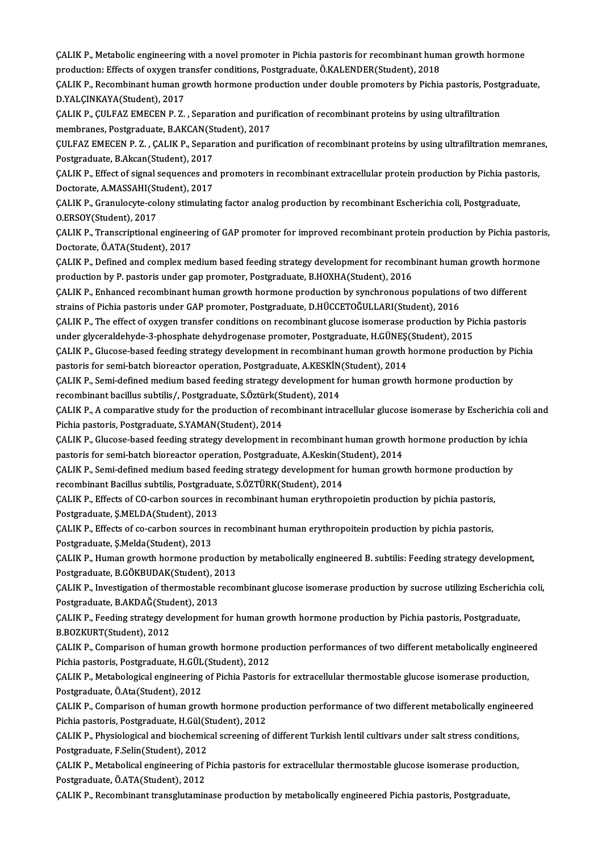CALIK P., Metabolic engineering with a novel promoter in Pichia pastoris for recombinant human growth hormone<br>nreduction: Effects of ouvren transfer conditions. Besteraduste, Ö.KAI ENDER(Student), 2019 CALIK P., Metabolic engineering with a novel promoter in Pichia pastoris for recombinant hum<br>production: Effects of oxygen transfer conditions, Postgraduate, Ö.KALENDER(Student), 2018<br>CALIK P. Besembinant human grouth berm CALIK P., Metabolic engineering with a novel promoter in Pichia pastoris for recombinant human growth hormone<br>production: Effects of oxygen transfer conditions, Postgraduate, Ö.KALENDER(Student), 2018<br>CALIK P., Recombinant

production: Effects of oxygen transfer conditions, Postgraduate, Ö.KALENDER(Student), 2018<br>ÇALIK P., Recombinant human growth hormone production under double promoters by Pichia pastoris, Postgraduate,<br>D.YALÇINKAYA(Student CALIK P., Recombinant human growth hormone production under double promoters by Pichia pastoris, Post<sub>i</sub><br>D.YALCINKAYA(Student), 2017<br>CALIK P., CULFAZ EMECEN P. Z. , Separation and purification of recombinant proteins by us

D.YALÇINKAYA(Student), 2017<br>ÇALIK P., ÇULFAZ EMECEN P. Z. , Separation and puri<br>membranes, Postgraduate, B.AKCAN(Student), 2017<br>CULEAZ EMECEN B. Z., CALIK B. Soparation and puri CALIK P., CULFAZ EMECEN P. Z. , Separation and purification of recombinant proteins by using ultrafiltration<br>membranes, Postgraduate, B.AKCAN(Student), 2017<br>CULFAZ EMECEN P. Z. , CALIK P., Separation and purification of re

membranes, Postgraduate, B.AKCAN(St<br>ÇULFAZ EMECEN P. Z. , ÇALIK P., Separ<br>Postgraduate, B.Akcan(Student), 2017<br>CALIK B. Effect of signal sequences and CULFAZ EMECEN P. Z. , CALIK P., Separation and purification of recombinant proteins by using ultrafiltration memrane<br>Postgraduate, B.Akcan(Student), 2017<br>CALIK P., Effect of signal sequences and promoters in recombinant ex

Postgraduate, B.Akcan(Student), 2017<br>ÇALIK P., Effect of signal sequences and<br>Doctorate, A.MASSAHI(Student), 2017<br>CALIK B. Cranulagyte, celany stimulativ CALIK P., Effect of signal sequences and promoters in recombinant extracellular protein production by Pichia past<br>Doctorate, A.MASSAHI(Student), 2017<br>CALIK P., Granulocyte-colony stimulating factor analog production by rec

Doctorate, A.MASSAHI(Student), 2017<br>ÇALIK P., Granulocyte-colony stimulating factor analog production by recombinant Escherichia coli, Postgraduate,<br>O.ERSOY(Student), 2017 ÇALIK P., Granulocyte-colony stimulating factor analog production by recombinant Escherichia coli, Postgraduate,<br>O.ERSOY(Student), 2017<br>ÇALIK P., Transcriptional engineering of GAP promoter for improved recombinant protein

Doctorate,Ö.ATA(Student),2017 CALIK P., Transcriptional engineering of GAP promoter for improved recombinant protein production by Pichia pastori<br>Doctorate, Ö.ATA(Student), 2017<br>CALIK P., Defined and complex medium based feeding strategy development fo

poctorate, Ö.ATA(Student), 2017<br>ÇALIK P., Defined and complex medium based feeding strategy development for recomb<br>production by P. pastoris under gap promoter, Postgraduate, B.HOXHA(Student), 2016<br>CALIK P. Enhanged recomb CALIK P., Defined and complex medium based feeding strategy development for recombinant human growth hormo<br>production by P. pastoris under gap promoter, Postgraduate, B.HOXHA(Student), 2016<br>CALIK P., Enhanced recombinant h

production by P. pastoris under gap promoter, Postgraduate, B.HOXHA(Student), 2016<br>ÇALIK P., Enhanced recombinant human growth hormone production by synchronous populations<br>strains of Pichia pastoris under GAP promoter, Po CALIK P., Enhanced recombinant human growth hormone production by synchronous populations of two different<br>strains of Pichia pastoris under GAP promoter, Postgraduate, D.HÜCCETOĞULLARI(Student), 2016<br>CALIK P., The effect o

strains of Pichia pastoris under GAP promoter, Postgraduate, D.HÜCCETOĞULLARI(Student), 2016<br>ÇALIK P., The effect of oxygen transfer conditions on recombinant glucose isomerase production by Pic<br>under glyceraldehyde-3-phos ÇALIK P., The effect of oxygen transfer conditions on recombinant glucose isomerase production by Pichia pastoris<br>under glyceraldehyde-3-phosphate dehydrogenase promoter, Postgraduate, H.GÜNEŞ(Student), 2015<br>CALIK P., Gluc

under glyceraldehyde-3-phosphate dehydrogenase promoter, Postgraduate, H.GÜNEŞ<br>CALIK P., Glucose-based feeding strategy development in recombinant human growth l<br>pastoris for semi-batch bioreactor operation, Postgraduate, CALIK P., Glucose-based feeding strategy development in recombinant human growth hormone production by Pi<br>pastoris for semi-batch bioreactor operation, Postgraduate, A.KESKİN(Student), 2014<br>CALIK P., Semi-defined medium ba

pastoris for semi-batch bioreactor operation, Postgraduate, A.KESKİN<br>ÇALIK P., Semi-defined medium based feeding strategy development forecombinant bacillus subtilis/, Postgraduate, S.Öztürk(Student), 2014<br>CALIK B. A sompa CALIK P., Semi-defined medium based feeding strategy development for human growth hormone production by<br>recombinant bacillus subtilis/, Postgraduate, S.Öztürk(Student), 2014<br>CALIK P., A comparative study for the production

recombinant bacillus subtilis/, Postgraduate, S.Öztürk(Student), 2014<br>CALIK P., A comparative study for the production of recombinant intracellular glucose isomerase by Escherichia col:<br>Pichia pastoris, Postgraduate, S.YAM CALIK P., A comparative study for the production of recombinant intracellular glucose isomerase by Escherichia coli<br>Pichia pastoris, Postgraduate, S.YAMAN(Student), 2014<br>CALIK P., Glucose-based feeding strategy development

pastoris for semi-batch bioreactor operation,Postgraduate,A.Keskin(Student),2014 CALIK P., Glucose-based feeding strategy development in recombinant human growth hormone production by ic<br>pastoris for semi-batch bioreactor operation, Postgraduate, A.Keskin(Student), 2014<br>CALIK P., Semi-defined medium ba

pastoris for semi-batch bioreactor operation, Postgraduate, A.Keskin(S<br>CALIK P., Semi-defined medium based feeding strategy development fo<br>recombinant Bacillus subtilis, Postgraduate, S.ÖZTÜRK(Student), 2014<br>CALIK P., Effe CALIK P., Semi-defined medium based feeding strategy development for human growth hormone production<br>recombinant Bacillus subtilis, Postgraduate, S.ÖZTÜRK(Student), 2014<br>CALIK P., Effects of CO-carbon sources in recombinan

recombinant Bacillus subtilis, Postgraduate, S.<br>CALIK P., Effects of CO-carbon sources in<br>Postgraduate, S.MELDA(Student), 2013<br>CALIK P., Effects of se. sarbon sources in CALIK P., Effects of CO-carbon sources in recombinant human erythropoietin production by pichia pastoris,<br>Postgraduate, Ş.MELDA(Student), 2013<br>CALIK P., Effects of co-carbon sources in recombinant human erythropoitein prod

Postgraduate, Ş.MELDA(Student), 2013<br>ÇALIK P., Effects of co-carbon sources<br>Postgraduate, Ş.Melda(Student), 2013<br>CALIK P. Human spauth harmana pro ÇALIK P., Effects of co-carbon sources in recombinant human erythropoitein production by pichia pastoris,<br>Postgraduate, Ş.Melda(Student), 2013<br>ÇALIK P., Human growth hormone production by metabolically engineered B. subtil

Postgraduate, Ş.Melda(Student), 2013<br>ÇALIK P., Human growth hormone productio<br>Postgraduate, B.GÖKBUDAK(Student), 2013<br>CALIK P. Investigation of thormostable reser CALIK P., Human growth hormone production by metabolically engineered B. subtilis: Feeding strategy development,<br>Postgraduate, B.GÖKBUDAK(Student), 2013<br>CALIK P., Investigation of thermostable recombinant glucose isomerase

Postgraduate, B.GÖKBUDAK(Student), 2<br>ÇALIK P., Investigation of thermostable r<br>Postgraduate, B.AKDAĞ(Student), 2013<br>CALIK P. Fooding stratogy davelapment CALIK P., Investigation of thermostable recombinant glucose isomerase production by sucrose utilizing Escherichi<br>Postgraduate, B.AKDAĞ(Student), 2013<br>CALIK P., Feeding strategy development for human growth hormone producti

Postgraduate, B.AKDAĞ(Student), 2012<br>CALIK P., Feeding strategy dentity<br>B.BOZKURT(Student), 2012<br>CALIK B. Comparison of bun CALIK P., Feeding strategy development for human growth hormone production by Pichia pastoris, Postgraduate,<br>B.BOZKURT(Student), 2012<br>CALIK P., Comparison of human growth hormone production performances of two different me

B.BOZKURT(Student), 2012<br>ÇALIK P., Comparison of human growth hormone pro<br>Pichia pastoris, Postgraduate, H.GÜL(Student), 2012<br>CALIK P. Metabalagical angineering of Bichia Bastori CALIK P., Comparison of human growth hormone production performances of two different metabolically engineere<br>Pichia pastoris, Postgraduate, H.GÜL(Student), 2012<br>CALIK P., Metabological engineering of Pichia Pastoris for e

Pichia pastoris, Postgraduate, H.GÜL(Student), 2012<br>ÇALIK P., Metabological engineering of Pichia Pastoris for extracellular thermostable glucose isomerase production,<br>Postgraduate, Ö.Ata(Student), 2012 ÇALIK P., Metabological engineering of Pichia Pastoris for extracellular thermostable glucose isomerase production,<br>Postgraduate, Ö.Ata(Student), 2012<br>ÇALIK P., Comparison of human growth hormone production performance of

Postgraduate, Ö.Ata(Student), 2012<br>ÇALIK P., Comparison of human growth hormone pr<br>Pichia pastoris, Postgraduate, H.Gül(Student), 2012<br>CALIK P. Physiologiaal and biochemical agreening of CALIK P., Comparison of human growth hormone production performance of two different metabolically enginee<br>Pichia pastoris, Postgraduate, H.Gül(Student), 2012<br>CALIK P., Physiological and biochemical screening of different

Pichia pastoris, Postgraduate, H.Gül(Student), 2012<br>ÇALIK P., Physiological and biochemical screening o<br>Postgraduate, F.Selin(Student), 2012 CALIK P., Physiological and biochemical screening of different Turkish lentil cultivars under salt stress conditions,<br>Postgraduate, F.Selin(Student), 2012<br>CALIK P., Metabolical engineering of Pichia pastoris for extracellu

CALIK P., Metabolical engineering of Pichia pastoris for extracellular thermostable glucose isomerase production,

ÇALIKP.,Recombinant transglutaminase productionbymetabolicaly engineeredPichia pastoris,Postgraduate,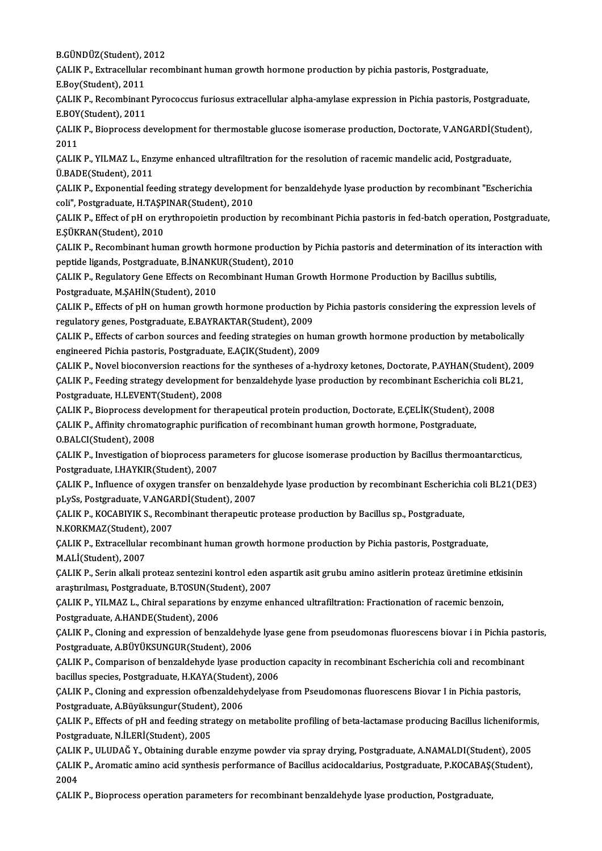**B.GÜNDÜZ(Student), 2012**<br>CALIK B. Eytrasellular rege

ÇALIK P., Extracellular recombinant human growth hormone production by pichia pastoris, Postgraduate,<br>E.Boy(Student), 2011 B.GÜNDÜZ(Student), 2<br>ÇALIK P., Extracellular<br>E.Boy(Student), 2011<br>CALIK P., Besembinari ÇALIK P., Extracellular recombinant human growth hormone production by pichia pastoris, Postgraduate,<br>E.Boy(Student), 2011<br>ÇALIK P., Recombinant Pyrococcus furiosus extracellular alpha-amylase expression in Pichia pastoris

E.Boy(Student), 2011<br>ÇALIK P., Recombinant<br>E.BOY(Student), 2011<br>CALIK P., Bionrocess d ÇALIK P., Recombinant Pyrococcus furiosus extracellular alpha-amylase expression in Pichia pastoris, Postgraduate,<br>E.BOY(Student), 2011<br>ÇALIK P., Bioprocess development for thermostable glucose isomerase production, Doctor

E.BOY(Student), 2011<br>CALIK P., Bioprocess d<br>2011 ÇALIK P., Bioprocess development for thermostable glucose isomerase production, Doctorate, V.ANGARDİ(Stud<br>2011<br>ÇALIK P., YILMAZ L., Enzyme enhanced ultrafiltration for the resolution of racemic mandelic acid, Postgraduate,

ÇALIK P., YILMAZ L., Enzyme enhanced ultrafiltration for the resolution of racemic mandelic acid, Postgraduate,<br>Ü.BADE(Student), 2011 CALIK P., YILMAZ L., Enzyme enhanced ultrafiltration for the resolution of racemic mandelic acid, Postgraduate,<br>Ü.BADE(Student), 2011<br>CALIK P., Exponential feeding strategy development for benzaldehyde lyase production by

Ü.BADE(Student), 2011<br>ÇALIK P., Exponential feeding strategy developme<br>coli", Postgraduate, H.TAŞPINAR(Student), 2010<br>CALIK P., Effect of pH on exythronoistin producti CALIK P., Exponential feeding strategy development for benzaldehyde lyase production by recombinant "Escherichia<br>coli", Postgraduate, H.TAŞPINAR(Student), 2010<br>CALIK P., Effect of pH on erythropoietin production by recombi

coli", Postgraduate, H.TAŞPINAR(Student), 2010<br>ÇALIK P., Effect of pH on erythropoietin production by recombinant Pichia pastoris in fed-batch operation, Postgraduate,<br>E.ŞÜKRAN(Student), 2010 ÇALIK P., Effect of pH on erythropoietin production by recombinant Pichia pastoris in fed-batch operation, Postgraduate<br>E.ŞÜKRAN(Student), 2010<br>ÇALIK P., Recombinant human growth hormone production by Pichia pastoris and d

E.ŞÜKRAN(Student), 2010<br>ÇALIK P., Recombinant human growth hormone production<br>peptide ligands, Postgraduate, B.İNANKUR(Student), 2010<br>CALIK P., Berulateny Cane Effects en Besembinant Human CALIK P., Recombinant human growth hormone production by Pichia pastoris and determination of its inter<br>peptide ligands, Postgraduate, B.İNANKUR(Student), 2010<br>CALIK P., Regulatory Gene Effects on Recombinant Human Growth

peptide ligands, Postgraduate, B.İNANKUR(Student), 2010<br>ÇALIK P., Regulatory Gene Effects on Recombinant Human Growth Hormone Production by Bacillus subtilis,<br>Postgraduate, M.ŞAHİN(Student), 2010

CALIK P., Effects of pH on human growth hormone production by Pichia pastoris considering the expression levels of regulatory genes, Postgraduate, E.BAYRAKTAR(Student), 2009 CALIK P., Effects of pH on human growth hormone production by Pichia pastoris considering the expression levels<br>regulatory genes, Postgraduate, E.BAYRAKTAR(Student), 2009<br>CALIK P., Effects of carbon sources and feeding str

regulatory genes, Postgraduate, E.BAYRAKTAR(Student), 2009<br>ÇALIK P., Effects of carbon sources and feeding strategies on hun<br>engineered Pichia pastoris, Postgraduate, E.AÇIK(Student), 2009<br>CALIK P. Novel bioconyersian reac

engineered Pichia pastoris, Postgraduate, E.AÇIK(Student), 2009<br>ÇALIK P., Novel bioconversion reactions for the syntheses of a-hydroxy ketones, Doctorate, P.AYHAN(Student), 2009 engineered Pichia pastoris, Postgraduate, E.AÇIK(Student), 2009<br>ÇALIK P., Novel bioconversion reactions for the syntheses of a-hydroxy ketones, Doctorate, P.AYHAN(Student), 20<br>ÇALIK P., Feeding strategy development for ben CALIK P., Novel bioconversion reactions f<br>CALIK P., Feeding strategy development f<br>Postgraduate, H.LEVENT(Student), 2008<br>CALIK P. Bionrosses development for the CALIK P., Feeding strategy development for benzaldehyde lyase production by recombinant Escherichia coli<br>Postgraduate, H.LEVENT(Student), 2008<br>CALIK P., Bioprocess development for therapeutical protein production, Doctorat

Postgraduate, H.LEVENT(Student), 2008<br>ÇALIK P., Bioprocess development for therapeutical protein production, Doctorate, E.ÇELİK(Student), 2008<br>ÇALIK P., Affinity chromatographic purification of recombinant human growth hor

O.BALCI(Student),2008

CALIK P., Investigation of bioprocess parameters for glucose isomerase production by Bacillus thermoantarcticus, Postgraduate, I.HAYKIR(Student),2007 CALIK P., Investigation of bioprocess parameters for glucose isomerase production by Bacillus thermoantarcticus,<br>Postgraduate, I.HAYKIR(Student), 2007<br>CALIK P., Influence of oxygen transfer on benzaldehyde lyase production

Postgraduate, I.HAYKIR(Student), 2007<br>ÇALIK P., Influence of oxygen transfer on benzald<br>pLySs, Postgraduate, V.ANGARDİ(Student), 2007<br>CALIK P. KOCARIVIK S. Resembinant thereneutie CALIK P., Influence of oxygen transfer on benzaldehyde lyase production by recombinant Escherichi<br>pLySs, Postgraduate, V.ANGARDİ(Student), 2007<br>CALIK P., KOCABIYIK S., Recombinant therapeutic protease production by Bacillu pLySs, Postgraduate, V.ANGA<br>ÇALIK P., KOCABIYIK S., Reco<br>N.KORKMAZ(Student), 2007<br>CALIK B., Eutrecellular recom

CALIK P., KOCABIYIK S., Recombinant therapeutic protease production by Bacillus sp., Postgraduate,<br>N.KORKMAZ(Student), 2007<br>CALIK P., Extracellular recombinant human growth hormone production by Pichia pastoris, Postgradua N.KORKMAZ(Student), 2007<br>ÇALIK P., Extracellular recombinant human growth hormone production by Pichia pastoris, Postgraduate,<br>M.ALİ(Student), 2007 ÇALIK P., Extracellular recombinant human growth hormone production by Pichia pastoris, Postgraduate,<br>M.ALİ(Student), 2007<br>ÇALIK P., Serin alkali proteaz sentezini kontrol eden aspartik asit grubu amino asitlerin proteaz ü

M.ALİ(Student), 2007<br>ÇALIK P., Serin alkali proteaz sentezini kontrol eden a<br>araştırılması, Postgraduate, B.TOSUN(Student), 2007<br>CALIK P. YU MAZ L., Chiral senarations by engyme en ÇALIK P., Serin alkali proteaz sentezini kontrol eden aspartik asit grubu amino asitlerin proteaz üretimine etki<br>araştırılması, Postgraduate, B.TOSUN(Student), 2007<br>ÇALIK P., YILMAZ L., Chiral separations by enzyme enhance

araştırılması, Postgraduate, B.TOSUN(Stu<br>ÇALIK P., YILMAZ L., Chiral separations b<br>Postgraduate, A.HANDE(Student), 2006<br>CALIK P. Claning and aynuassian of barı CALIK P., YILMAZ L., Chiral separations by enzyme enhanced ultrafiltration: Fractionation of racemic benzoin,<br>Postgraduate, A.HANDE(Student), 2006<br>CALIK P., Cloning and expression of benzaldehyde lyase gene from pseudomona

Postgraduate, A.HANDE(Student), 2006<br>ÇALIK P., Cloning and expression of benzaldehyd<br>Postgraduate, A.BÜYÜKSUNGUR(Student), 2006<br>CALIK P. Comparison of benzaldehyda lyase pro CALIK P., Cloning and expression of benzaldehyde lyase gene from pseudomonas fluorescens biovar i in Pichia pastoris,

Postgraduate, A.BÜYÜKSUNGUR(Student), 2006<br>ÇALIK P., Comparison of benzaldehyde lyase productio:<br>bacillus species, Postgraduate, H.KAYA(Student), 2006<br>CALIK P., Claning and aunressian of benzaldehydelyase ÇALIK P., Comparison of benzaldehyde lyase production capacity in recombinant Escherichia coli and recombinant<br>bacillus species, Postgraduate, H.KAYA(Student), 2006<br>ÇALIK P., Cloning and expression ofbenzaldehydelyase from bacillus species, Postgraduate, H.KAYA(Student), 2006

ÇALIK P., Cloning and expression ofbenzaldehydelyase from Pseudomonas fluorescens Biovar I in Pichia pastoris,<br>Postgraduate, A.Büyüksungur(Student), 2006<br>ÇALIK P., Effects of pH and feeding strategy on metabolite profiling

Postgraduate, A.Büyüksungur(Student)<br>ÇALIK P., Effects of pH and feeding stra<br>Postgraduate, N.İLERİ(Student), 2005<br>CALIK P., HLHDAČ V., Obtaining durabl ÇALIK P., Effects of pH and feeding strategy on metabolite profiling of beta-lactamase producing Bacillus licheniformis<br>Postgraduate, N.İLERİ(Student), 2005<br>ÇALIK P., ULUDAĞ Y., Obtaining durable enzyme powder via spray dr

Postgraduate, N.İLERİ(Student), 2005<br>ÇALIK P., ULUDAĞ Y., Obtaining durable enzyme powder via spray drying, Postgraduate, A.NAMALDI(Student), 2005<br>ÇALIK P., Aromatic amino acid synthesis performance of Bacillus acidocaldar CALIK<br>CALIK<br>2004<br>CALIK ÇALIK P., Aromatic amino acid synthesis performance of Bacillus acidocaldarius, Postgraduate, P.KOCABAŞ(Student),<br>2004<br>CALIK P., Bioprocess operation parameters for recombinant benzaldehyde lyase production, Postgraduate,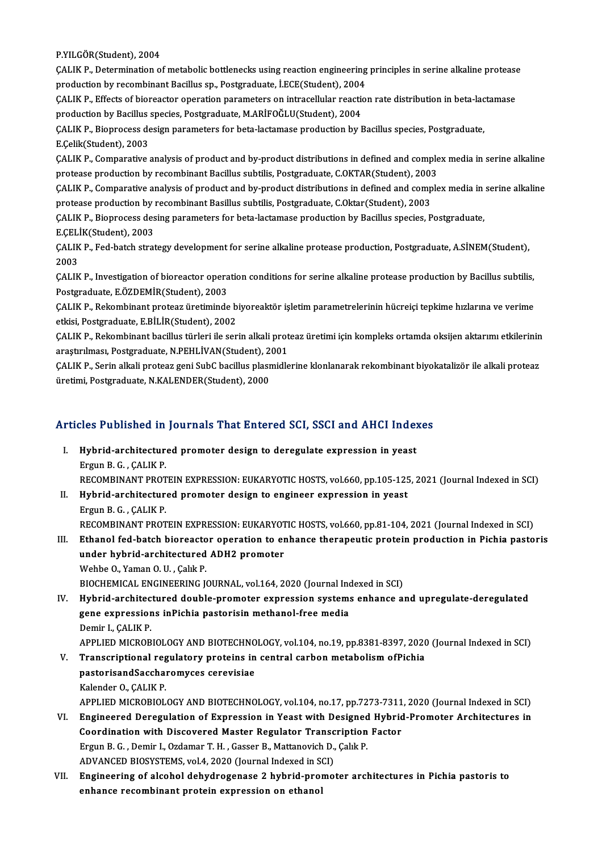P.YILGÖR(Student),2004

P.YILGÖR(Student), 2004<br>ÇALIK P., Determination of metabolic bottlenecks using reaction engineering principles in serine alkaline protease<br>nredustion by resembinant Basillus sp. Bestspaduate, İ.F.CE(Student), 2004 P.YILGÖR(Student), 2004<br>ÇALIK P., Determination of metabolic bottlenecks using reaction engineering<br>production by recombinant Bacillus sp., Postgraduate, İ.ECE(Student), 2004<br>CALIK P., Effecta of bioneactor eneration peram CALIK P., Determination of metabolic bottlenecks using reaction engineering principles in serine alkaline protease<br>production by recombinant Bacillus sp., Postgraduate, İ.ECE(Student), 2004<br>CALIK P., Effects of bioreactor

production by recombinant Bacillus sp., Postgraduate, İ.ECE(Student), 2004<br>ÇALIK P., Effects of bioreactor operation parameters on intracellular reaction<br>production by Bacillus species, Postgraduate, M.ARİFOĞLU(Student), 2 ÇALIK P., Effects of bioreactor operation parameters on intracellular reaction rate distribution in beta-lactama<br>production by Bacillus species, Postgraduate, M.ARİFOĞLU(Student), 2004<br>ÇALIK P., Bioprocess design parameter

production by Bacillus species, Postgraduate, M.ARİFOĞLU(Student), 2004<br>ÇALIK P., Bioprocess design parameters for beta-lactamase production by Bacillus species, Postgraduate,<br>E.Çelik(Student), 2003

CALIK P., Comparative analysis of product and by-product distributions in defined and complex media in serine alkaline protease production by recombinant Bacillus subtilis, Postgraduate, C.OKTAR(Student), 2003 CALIK P., Comparative analysis of product and by-product distributions in defined and complex media in serine alkaline<br>protease production by recombinant Bacillus subtilis, Postgraduate, C.OKTAR(Student), 2003<br>CALIK P., Co

protease production by recombinant Bacillus subtilis, Postgraduate, C.OKTAR(Student), 2003<br>CALIK P., Comparative analysis of product and by-product distributions in defined and comp<br>protease production by recombinant Basil CALIK P., Comparative analysis of product and by-product distributions in defined and complex media in<br>protease production by recombinant Basillus subtilis, Postgraduate, C.Oktar(Student), 2003<br>CALIK P., Bioprocess desing

protease production by recombinant Basillus subtilis, Postgraduate, C.Oktar(Student), 2003<br>CALIK P., Bioprocess desing parameters for beta-lactamase production by Bacillus species, Postgraduate,<br>E.ÇELİK(Student), 2003 ÇALIK P., Bioprocess desing parameters for beta-lactamase production by Bacillus species, Postgraduate,<br>E.ÇELİK(Student), 2003<br>ÇALIK P., Fed-batch strategy development for serine alkaline protease production, Postgraduate,

E.ÇELİ<br>ÇALIK<br>2003<br>CALIK CALIK P., Fed-batch strategy development for serine alkaline protease production, Postgraduate, A.SİNEM(Student),<br>2003<br>CALIK P., Investigation of bioreactor operation conditions for serine alkaline protease production by B

2003<br>ÇALIK P., Investigation of bioreactor opera<br>Postgraduate, E.ÖZDEMİR(Student), 2003<br>CALIK P., Bekembinent pretase ünetiminde ÇALIK P., Investigation of bioreactor operation conditions for serine alkaline protease production by Bacillus subtilis,<br>Postgraduate, E.ÖZDEMİR(Student), 2003<br>ÇALIK P., Rekombinant proteaz üretiminde biyoreaktör işletim p

Postgraduate, E.ÖZDEMİR(Student), 2003<br>ÇALIK P., Rekombinant proteaz üretiminde biyoreaktör işletim parametrelerinin hücreiçi tepkime hızlarına ve verime<br>etkisi, Postgraduate, E.BİLİR(Student), 2002 ÇALIK P., Rekombinant proteaz üretiminde biyoreaktör işletim parametrelerinin hücreiçi tepkime hızlarına ve verime<br>etkisi, Postgraduate, E.BİLİR(Student), 2002<br>ÇALIK P., Rekombinant bacillus türleri ile serin alkali protea

etkisi, Postgraduate, E.BİLİR(Student), 2002<br>ÇALIK P., Rekombinant bacillus türleri ile serin alkali prot<br>araştırılması, Postgraduate, N.PEHLİVAN(Student), 2001<br>CALIK P. Serin alkali proteaz seni SubC bacillus plasmidle ÇALIK P., Rekombinant bacillus türleri ile serin alkali proteaz üretimi için kompleks ortamda oksijen aktarımı etkilerinin<br>araştırılması, Postgraduate, N.PEHLİVAN(Student), 2001<br>ÇALIK P., Serin alkali proteaz geni SubC bac

araştırılması, Postgraduate, N.PEHLİVAN(Student), 2001<br>ÇALIK P., Serin alkali proteaz geni SubC bacillus plasmidlerine klonlanarak rekombinant biyokatalizör ile alkali proteaz<br>üretimi, Postgraduate, N.KALENDER(Student), 20

# ureum, Posigraduale, N.KALENDER(Student), 2000<br>Articles Published in Journals That Entered SCI, SSCI and AHCI Indexes

- rticles Published in Journals That Entered SCI, SSCI and AHCI Index<br>I. Hybrid-architectured promoter design to deregulate expression in yeast I. Hybrid-architectured promoter design to deregulate expression in yeast<br>Ergun B.G., CALIKP. Hybrid-architectured promoter design to deregulate expression in yeast<br>Ergun B. G. , ÇALIK P.<br>RECOMBINANT PROTEIN EXPRESSION: EUKARYOTIC HOSTS, vol.660, pp.105-125, 2021 (Journal Indexed in SCI)<br>Hybrid architectured promot Ergun B. G. , ÇALIK P.<br>RECOMBINANT PROTEIN EXPRESSION: EUKARYOTIC HOSTS, vol.660, pp.105-125<br>II. Hybrid-architectured promoter design to engineer expression in yeast<br>Frgun B. G. GALIV B.
- RECOMBINANT PROT<br><mark>Hybrid-architectur</mark><br>Ergun B. G. , ÇALIK P.<br>PECOMBINANT PROT Hybrid-architectured promoter design to engineer expression in yeast<br>Ergun B. G. , ÇALIK P.<br>RECOMBINANT PROTEIN EXPRESSION: EUKARYOTIC HOSTS, vol.660, pp.81-104, 2021 (Journal Indexed in SCI)<br>Ethanol fod batch bioneastan e Ergun B. G. , ÇALIK P.<br>RECOMBINANT PROTEIN EXPRESSION: EUKARYOTIC HOSTS, vol.660, pp.81-104, 2021 (Journal Indexed in SCI)<br>III. Ethanol fed-batch bioreactor operation to enhance therapeutic protein production in Pichia pas
- RECOMBINANT PROTEIN EXPRESSION: EUKARYOT<br>Ethanol fed-batch bioreactor operation to entitlectured ADH2 promoter<br>Webbe O. Yaman O. U. Calik D Wehbe O., Yaman O. U., Çalık P.

BIOCHEMICAL ENGINEERING JOURNAL, vol.164, 2020 (Journal Indexed in SCI)

IV. Hybrid-architectured double-promoter expression systems enhance and upregulate-deregulated BIOCHEMICAL ENGINEERING JOURNAL, vol.164, 2020 (Journal Inc<br>Hybrid-architectured double-promoter expression system:<br>gene expressions inPichia pastorisin methanol-free media<br>Domin L.CALIK P. Hybrid-architec<br>gene expressior<br>Demir I., ÇALIK P.<br>APPLIED MICROP gene expressions inPichia pastorisin methanol-free media<br>Demir I., ÇALIK P.<br>APPLIED MICROBIOLOGY AND BIOTECHNOLOGY, vol.104, no.19, pp.8381-8397, 2020 (Journal Indexed in SCI)<br>Transcriptional regulatory protains in contral Demir I., ÇALIK P.<br>APPLIED MICROBIOLOGY AND BIOTECHNOLOGY, vol.104, no.19, pp.8381-8397, 2020<br>V. Transcriptional regulatory proteins in central carbon metabolism ofPichia<br>nastarisandSassharemyses serevisies

- APPLIED MICROBIOLOGY AND BIOTECHNO<br>Transcriptional regulatory proteins in<br>pastorisandSaccharomyces cerevisiae<br>Kelender O. CALIK P Transcriptional regulatory proteins in central carbon metabolism ofPichia<br>pastorisandSaccharomyces cerevisiae<br>Kalender O., ÇALIK P. pastorisandSaccharomyces cerevisiae<br>Kalender O., ÇALIK P.<br>APPLIED MICROBIOLOGY AND BIOTECHNOLOGY, vol.104, no.17, pp.7273-7311, 2020 (Journal Indexed in SCI)<br>Engineered Deregulation of Eunressien in Yeast with Designed Hyb Kalender O., ÇALIK P.<br>APPLIED MICROBIOLOGY AND BIOTECHNOLOGY, vol.104, no.17, pp.7273-7311, 2020 (Journal Indexed in SCI)<br>VI. Engineered Deregulation of Expression in Yeast with Designed Hybrid-Promoter Architectures in<br>Co
- APPLIED MICROBIOLOGY AND BIOTECHNOLOGY, vol.104, no.17, pp.7273-7311<br>Engineered Deregulation of Expression in Yeast with Designed Hybric<br>Coordination with Discovered Master Regulator Transcription Factor<br>Fraun B.C., Demin Engineered Deregulation of Expression in Yeast with Designed Hybrid-Promoter Architectures in<br>Coordination with Discovered Master Regulator Transcription Factor<br>Ergun B. G. , Demir I., Ozdamar T. H. , Gasser B., Mattanovic Coordination with Discovered Master Regulator Transc<br>Ergun B. G. , Demir I., Ozdamar T. H. , Gasser B., Mattanovich D.,<br>ADVANCED BIOSYSTEMS, vol.4, 2020 (Journal Indexed in SCI)<br>Engineering of alsohol dehydrogenese 2 byhri
- VII. Engineering of alcohol dehydrogenase 2 hybrid-promoter architectures in Pichia pastoris to enhance recombinant protein expression on ethanol ADVANCED BIOSYSTEMS, vol.4, 2020 (Journal Indexed in S<br>Engineering of alcohol dehydrogenase 2 hybrid-pro<br>enhance recombinant protein expression on ethanol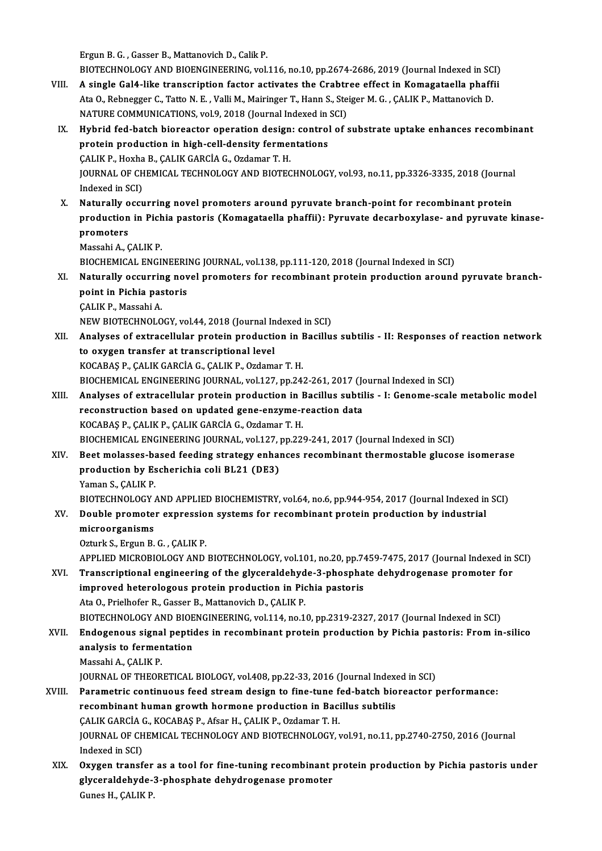Ergun B. G., Gasser B., Mattanovich D., Calik P.

Ergun B. G. , Gasser B., Mattanovich D., Calik P.<br>BIOTECHNOLOGY AND BIOENGINEERING, vol.116, no.10, pp.2674-2686, 2019 (Journal Indexed in SCI)<br>A single Cel4, like transcription fector activates the Crabtree effect in Koma

- Ergun B. G., Gasser B., Mattanovich D., Calik P.<br>BIOTECHNOLOGY AND BIOENGINEERING, vol.116, no.10, pp.2674-2686, 2019 (Journal Indexed in SCI)<br>VIII. A single Gal4-like transcription factor activates the Crabtree effect in BIOTECHNOLOGY AND BIOENGINEERING, vol.116, no.10, pp.2674-2686, 2019 (Journal Indexed in SC<br>A single Gal4-like transcription factor activates the Crabtree effect in Komagataella phaff<br>Ata O., Rebnegger C., Tatto N. E. , Va VIII. A single Gal4-like transcription factor activates the Crabtree effect in Komagataella phaffii<br>Ata O., Rebnegger C., Tatto N. E., Valli M., Mairinger T., Hann S., Steiger M. G., CALIK P., Mattanovich D.
	- IX. Hybrid fed-batch bioreactor operation design: control of substrate uptake enhances recombinant NATURE COMMUNICATIONS, vol.9, 2018 (Journal Indexed in SCI)<br>Hybrid fed-batch bioreactor operation design: control of<br>protein production in high-cell-density fermentations<br>CALIK P., Hoxha B., CALIK GARCIA G., Ozdamar T. H. protein production in high-cell-density fermentations protein production in high-cell-density fermentations<br>ÇALIK P., Hoxha B., ÇALIK GARCİA G., Ozdamar T. H.<br>JOURNAL OF CHEMICAL TECHNOLOGY AND BIOTECHNOLOGY, vol.93, no.11, pp.3326-3335, 2018 (Journal<br>Indexed in SCD. CALIK P., Hoxha<br>JOURNAL OF CH<br>Indexed in SCI)<br>Naturally occu JOURNAL OF CHEMICAL TECHNOLOGY AND BIOTECHNOLOGY, vol.93, no.11, pp.3326-3335, 2018 (Journal<br>Indexed in SCI)<br>X. Naturally occurring novel promoters around pyruvate branch-point for recombinant protein<br>nraduation in Bishio
	- Indexed in SCI)<br>Naturally occurring novel promoters around pyruvate branch-point for recombinant protein<br>production in Pichia pastoris (Komagataella phaffii): Pyruvate decarboxylase- and pyruvate kinase-<br>promotors Naturally o<br>production<br>promoters<br>Massabi A. G production in Pichia pastoris (Komagataella phaffii): Pyruvate decarboxylase- and pyruvate kinase-<br>promoters<br>Massahi A., ÇALIK P. promoters<br>Massahi A., ÇALIK P.<br>BIOCHEMICAL ENGINEERING JOURNAL, vol.138, pp.111-120, 2018 (Journal Indexed in SCI)<br>Naturally oscurring novel promoters for resembinant pretain production around
		-

- Massahi A., ÇALIK P.<br>BIOCHEMICAL ENGINEERING JOURNAL, vol.138, pp.111-120, 2018 (Journal Indexed in SCI)<br>XI. Naturally occurring novel promoters for recombinant protein production around pyruvate branch-<br>noint in Bishi **BIOCHEMICAL ENGINEERI<br>Naturally occurring nov<br>point in Pichia pastoris<br>CALIV P. Messabi A Naturally occurrin<br>point in Pichia pas<br>CALIK P., Massahi A.<br>NEW PIOTECUNOLO** point in Pichia pastoris<br>CALIK P., Massahi A.<br>NEW BIOTECHNOLOGY, vol.44, 2018 (Journal Indexed in SCI)
	-
	-
- CALIK P., Massahi A.<br>NEW BIOTECHNOLOGY, vol.44, 2018 (Journal Indexed in SCI)<br>XII. Analyses of extracellular protein production in Bacillus subtilis II: Responses of reaction network<br>to extrace transfor at transcript NEW BIOTECHNOLOGY, vol.44, 2018 (Journal In<br>Analyses of extracellular protein production<br>to oxygen transfer at transcriptional level<br>KOCABAS B. CALIK CABCIA C. CALIK B. Ordams Analyses of extracellular protein production in I<br>to oxygen transfer at transcriptional level<br>KOCABAŞ P., ÇALIK GARCİA G., ÇALIK P., Ozdamar T. H.<br>PIOCHEMICAL ENCINEEPINC JOUPNAL .vol 127. pp. 24. to oxygen transfer at transcriptional level<br>KOCABAŞ P., ÇALIK GARCİA G., ÇALIK P., Ozdamar T. H.<br>BIOCHEMICAL ENGINEERING JOURNAL, vol.127, pp.242-261, 2017 (Journal Indexed in SCI)<br>Analyses of aytrasellular protein product KOCABAŞ P., ÇALIK GARCİA G., ÇALIK P., Ozdamar T. H.<br>BIOCHEMICAL ENGINEERING JOURNAL, vol.127, pp.242-261, 2017 (Journal Indexed in SCI)<br>XIII. Analyses of extracellular protein production in Bacillus subtilis - I: Genome-s
- BIOCHEMICAL ENGINEERING JOURNAL, vol.127, pp.242-261, 2017 (Journal protein production in Bacillus subtil<br>reconstruction based on updated gene-enzyme-reaction data<br>reconstruction based on updated gene-enzyme-reaction data KOCABAŞP.,ÇALIKP.,ÇALIKGARCİAG.,OzdamarT.H. BIOCHEMICAL ENGINEERING JOURNAL, vol.127, pp.229-241, 2017 (Journal Indexed in SCI)
- XIV. Beetmolasses-based feeding strategy enhances recombinant thermostable glucose isomerase BIOCHEMICAL ENGINEERING JOURNAL, vol.127, p<br>Beet molasses-based feeding strategy enhal<br>production by Escherichia coli BL21 (DE3)<br><sup>Vaman S.</sup> SALIK B **Beet molasses-band**<br>**production by Es<br>Yaman S., ÇALIK P.<br>PLOTECUNOL OCY 4** Yaman S., ÇALIK P.<br>BIOTECHNOLOGY AND APPLIED BIOCHEMISTRY, vol.64, no.6, pp.944-954, 2017 (Journal Indexed in SCI) Yaman S., ÇALIK P.<br>BIOTECHNOLOGY AND APPLIED BIOCHEMISTRY, vol.64, no.6, pp.944-954, 2017 (Journal Indexed in<br>XV. Double promoter expression systems for recombinant protein production by industrial<br>microorganisms
- BIOTECHNOLOGY<br>Double promote<br>microorganisms<br>Orturk S. Ergun B. Double promoter expressio<br>microorganisms<br>Ozturk S., Ergun B. G. , ÇALIK P.<br>APPLIED MICROBIOLOCY AND
	-

microorganisms<br>Ozturk S., Ergun B. G. , ÇALIK P.<br>APPLIED MICROBIOLOGY AND BIOTECHNOLOGY, vol.101, no.20, pp.7459-7475, 2017 (Journal Indexed in SCI)<br>Transsriptional angineering of the glyceraldebyde 3 pheephate debydregene

Ozturk S., Ergun B. G. , ÇALIK P.<br>APPLIED MICROBIOLOGY AND BIOTECHNOLOGY, vol.101, no.20, pp.7459-7475, 2017 (Journal Indexed in APPLIED MICROBIOLOGY AND BIOTECHNOLOGY, vol.101, no.20, pp.7459-7475, 2017 (Journal Indexed i APPLIED MICROBIOLOGY AND BIOTECHNOLOGY, vol.101, no.20, pp.74<br>Transcriptional engineering of the glyceraldehyde-3-phospha<br>improved heterologous protein production in Pichia pastoris<br>Ata O. Prielbefer B. Casser B. Mattanevi XVI. Transcriptional engineering of the glyceraldehyde-3-phosphate dehydrogenase promoter for<br>improved heterologous protein production in Pichia pastoris<br>Ata O., Prielhofer R., Gasser B., Mattanovich D., ÇALIK P. improved heterologous protein production in Pichia pastoris<br>Ata 0., Prielhofer R., Gasser B., Mattanovich D., ÇALIK P.<br>BIOTECHNOLOGY AND BIOENGINEERING, vol.114, no.10, pp.2319-2327, 2017 (Journal Indexed in SCI)<br>Endogenou

- Ata 0., Prielhofer R., Gasser B., Mattanovich D., ÇALIK P.<br>BIOTECHNOLOGY AND BIOENGINEERING, vol.114, no.10, pp.2319-2327, 2017 (Journal Indexed in SCI)<br>XVII. Endogenous signal peptides in recombinant protein production by BIOTECHNOLOGY AND BIOE<br>Endogenous signal peption<br>analysis to fermentation<br>Massabi A. CALIK B Endogenous signa<br>analysis to fermen<br>Massahi A., ÇALIK P.<br>JOUPNAL OF THEOP analysis to fermentation<br>Massahi A., ÇALIK P.<br>JOURNAL OF THEORETICAL BIOLOGY, vol.408, pp.22-33, 2016 (Journal Indexed in SCI)<br>Peremetris continuous food streem design to fine tune fod batch bioreaster :
	-

- Massahi A., ÇALIK P.<br>JOURNAL OF THEORETICAL BIOLOGY, vol.408, pp.22-33, 2016 (Journal Indexed in SCI)<br>XVIII. Parametric continuous feed stream design to fine-tune fed-batch bioreactor performance:<br>Recombinant buman grouth JOURNAL OF THEORETICAL BIOLOGY, vol.408, pp.22-33, 2016 (Journal Index<br>Parametric continuous feed stream design to fine-tune fed-batch bio<br>recombinant human growth hormone production in Bacillus subtilis<br>CALIK CARCIA C. KO XVIII. Parametric continuous feed stream design to fine-tune fed-batch bioreactor performance:<br>recombinant human growth hormone production in Bacillus subtilis<br>CALIK GARCIA G., KOCABAŞ P., Afsar H., ÇALIK P., Ozdamar T. H. recombinant human growth hormone production in Bacillus subtilis<br>ÇALIK GARCİA G., KOCABAŞ P., Afsar H., ÇALIK P., Ozdamar T. H.<br>JOURNAL OF CHEMICAL TECHNOLOGY AND BIOTECHNOLOGY, vol.91, no.11, pp.2740-2750, 2016 (Journal<br>I CALIK GARCIA<br>JOURNAL OF CH<br>Indexed in SCI)<br>Ouwaan transf JOURNAL OF CHEMICAL TECHNOLOGY AND BIOTECHNOLOGY, vol.91, no.11, pp.2740-2750, 2016 (Journal<br>Indexed in SCI)<br>XIX. Oxygen transfer as a tool for fine-tuning recombinant protein production by Pichia pastoris under<br>cluseralde
	- Indexed in SCI)<br>Oxygen transfer as a tool for fine-tuning recombinant protein production by Pichia pastoris under<br>glyceraldehyde-3-phosphate dehydrogenase promoter Gunes H., ÇALIK P.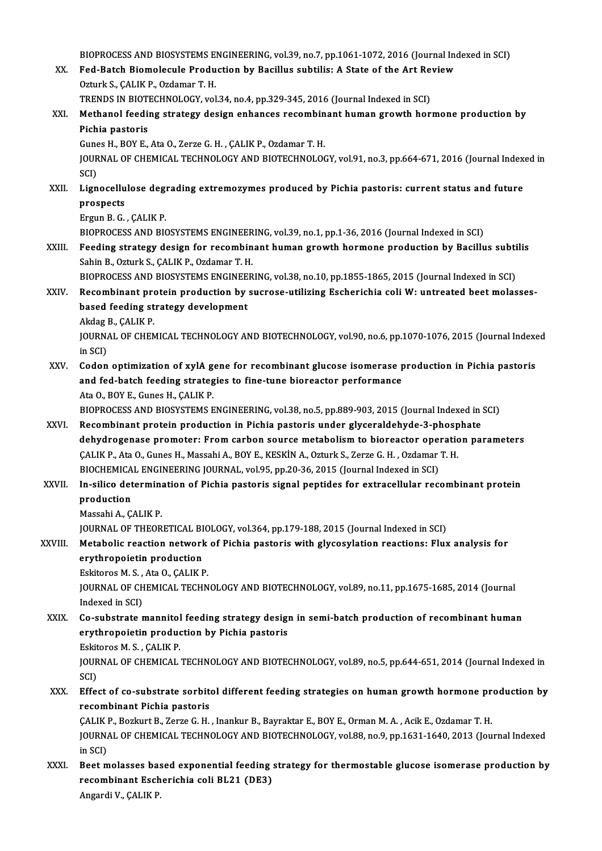BIOPROCESS AND BIOSYSTEMS ENGINEERING, vol.39, no.7, pp.1061-1072, 2016 (Journal Indexed in SCI)<br>Eed, Bateb Biomologule Broduction by Bosillys subtilie: A State of the Art Boyiew.

BIOPROCESS AND BIOSYSTEMS ENGINEERING, vol.39, no.7, pp.1061-1072, 2016 (Journal Incores<br>XX. Fed-Batch Biomolecule Production by Bacillus subtilis: A State of the Art Review BIOPROCESS AND BIOSYSTEMS E<br>Fed-Batch Biomolecule Produ<br>Ozturk S., ÇALIK P., Ozdamar T. H.<br>TRENDS IN BIOTECHNOLOCY xol XX. Fed-Batch Biomolecule Production by Bacillus subtilis: A State of the Art Review<br>Ozturk S., ÇALIK P., Ozdamar T. H.<br>TRENDS IN BIOTECHNOLOGY, vol.34, no.4, pp.329-345, 2016 (Journal Indexed in SCI) XXI. Methanol feeding strategy design enhances recombinant human growth hormone production by Pichia pastoris Methanol feeding strategy design enhances recombin<br>Pichia pastoris<br>Gunes H., BOY E., Ata O., Zerze G. H. , ÇALIK P., Ozdamar T. H.<br>JOUPNAL OF CHEMICAL TECHNOLOCY AND PIOTECHNOLOC JOURNAL OF CHEMICAL TECHNOLOGY AND BIOTECHNOLOGY, vol.91, no.3, pp.664-671, 2016 (Journal Indexed in<br>SCI) Gune<br>JOUR<br>SCI)<br>Lign JOURNAL OF CHEMICAL TECHNOLOGY AND BIOTECHNOLOGY, vol.91, no.3, pp.664-671, 2016 (Journal Index<br>SCI)<br>XXII. Lignocellulose degrading extremozymes produced by Pichia pastoris: current status and future<br>nrospests SCI)<br>Lignocellu<br>prospects<br>Fraun B. C Lignocellulose degi<br>prospects<br>Ergun B. G. , ÇALIK P.<br>PIOPPOCESS AND PIC prospects<br>Ergun B. G. , ÇALIK P.<br>BIOPROCESS AND BIOSYSTEMS ENGINEERING, vol.39, no.1, pp.1-36, 2016 (Journal Indexed in SCI) Ergun B. G. , ÇALIK P.<br>BIOPROCESS AND BIOSYSTEMS ENGINEERING, vol.39, no.1, pp.1-36, 2016 (Journal Indexed in SCI)<br>XXIII. Feeding strategy design for recombinant human growth hormone production by Bacillus subtilis<br>Sobin B BIOPROCESS AND BIOSYSTEMS ENGINEER<br>Feeding strategy design for recombin<br>Sahin B., Ozturk S., ÇALIK P., Ozdamar T. H.<br>PIOPROCESS AND PIOSYSTEMS ENGINEER Feeding strategy design for recombinant human growth hormone production by Bacillus subti<br>Sahin B., Ozturk S., ÇALIK P., Ozdamar T. H.<br>BIOPROCESS AND BIOSYSTEMS ENGINEERING, vol.38, no.10, pp.1855-1865, 2015 (Journal Index Sahin B., Ozturk S., ÇALIK P., Ozdamar T. H.<br>BIOPROCESS AND BIOSYSTEMS ENGINEERING, vol.38, no.10, pp.1855-1865, 2015 (Journal Indexed in SCI)<br>XXIV. Recombinant protein production by sucrose-utilizing Escherichia coli W BIOPROCESS AND BIOSYSTEMS ENGINEE<br>Recombinant protein production by<br>based feeding strategy development<br>Aldes B. CALIV B. Recombinant pro<br>based feeding st<br>Akdag B., ÇALIK P.<br>JOUPMAL OF CUEN based feeding strategy development<br>Akdag B., ÇALIK P.<br>JOURNAL OF CHEMICAL TECHNOLOGY AND BIOTECHNOLOGY, vol.90, no.6, pp.1070-1076, 2015 (Journal Indexed<br>in SCD Akdag B., ÇALIK P.<br>JOURNAL OF CHEMICAL TECHNOLOGY AND BIOTECHNOLOGY, vol.90, no.6, pp.1070-1076, 2015 (Journal Index<br>in SCI)<br>Codon optimization of xylA gene for recombinant glucose isomerase production in Pichia pastoris JOURNAL OF CHEMICAL TECHNOLOGY AND BIOTECHNOLOGY, vol.90, no.6, pp.1070-1076, 2015 (Journal Indexe<br>in SCI)<br>XXV. Codon optimization of xylA gene for recombinant glucose isomerase production in Pichia pastoris<br>and fod batch and fed-batch feeding strategies to fine-tune bioreactor performance Ata O., BOY E., Gunes H., ÇALIK P. and fed-batch feeding strategies to fine-tune bioreactor performance<br>Ata 0., BOY E., Gunes H., ÇALIK P.<br>BIOPROCESS AND BIOSYSTEMS ENGINEERING, vol.38, no.5, pp.889-903, 2015 (Journal Indexed in SCI)<br>Becombinant protain pro Ata 0., BOY E., Gunes H., ÇALIK P.<br>BIOPROCESS AND BIOSYSTEMS ENGINEERING, vol.38, no.5, pp.889-903, 2015 (Journal Indexed in<br>XXVI. Recombinant protein production in Pichia pastoris under glyceraldehyde-3-phosphate<br>debydrog BIOPROCESS AND BIOSYSTEMS ENGINEERING, vol.38, no.5, pp.889-903, 2015 (Journal Indexed in SCI)<br>Recombinant protein production in Pichia pastoris under glyceraldehyde-3-phosphate<br>dehydrogenase promoter: From carbon source m Recombinant protein production in Pichia pastoris under glyceraldehyde-3-phosphate<br>dehydrogenase promoter: From carbon source metabolism to bioreactor operation parameters<br>CALIK P., Ata O., Gunes H., Massahi A., BOY E., KE dehydrogenase promoter: From carbon source metabolism to bioreactor oper<br>CALIK P., Ata O., Gunes H., Massahi A., BOY E., KESKİN A., Ozturk S., Zerze G. H. , Ozdamar<br>BIOCHEMICAL ENGINEERING JOURNAL, vol.95, pp.20-36, 2015 ( CALIK P., Ata O., Gunes H., Massahi A., BOY E., KESKİN A., Ozturk S., Zerze G. H. , Ozdamar T. H.<br>BIOCHEMICAL ENGINEERING JOURNAL, vol.95, pp.20-36, 2015 (Journal Indexed in SCI)<br>XXVII. In-silico determination of Pichia pa BIOCHEMICA<br>In-silico det<br>production<br>Massabi A. G In-silico determin<mark>.</mark><br>production<br>Massahi A., ÇALIK P.<br>JOUPNAL OF THEOP production<br>Massahi A., ÇALIK P.<br>JOURNAL OF THEORETICAL BIOLOGY, vol.364, pp.179-188, 2015 (Journal Indexed in SCI)<br>Matabalis reastion naturark of Bisbio nastaris with glysesylation reastions: Elux Massahi A., ÇALIK P.<br>JOURNAL OF THEORETICAL BIOLOGY, vol.364, pp.179-188, 2015 (Journal Indexed in SCI)<br>XXVIII. Metabolic reaction network of Pichia pastoris with glycosylation reactions: Flux analysis for<br>Anytheopoistin p **JOURNAL OF THEORETICAL BI<br>Metabolic reaction network<br>erythropoietin production<br>Eskitones M.S. Ato O. CALIK E** Metabolic reaction network<br>erythropoietin production<br>Eskitoros M. S. , Ata O., ÇALIK P.<br>JOUPNAL OF CHEMICAL TECHN erythropoietin production<br>Eskitoros M. S. , Ata O., ÇALIK P.<br>JOURNAL OF CHEMICAL TECHNOLOGY AND BIOTECHNOLOGY, vol.89, no.11, pp.1675-1685, 2014 (Journal<br>Indexed in SCI) Eskitoros M. S., Ata O., CALIK P. JOURNAL OF CHEMICAL TECHNOLOGY AND BIOTECHNOLOGY, vol.89, no.11, pp.1675-1685, 2014 (Journal<br>Indexed in SCI)<br>XXIX. Co-substrate mannitol feeding strategy design in semi-batch production of recombinant human<br>eruthronoistin Indexed in SCI)<br>Co-substrate mannitol feeding strategy design<br>erythropoietin production by Pichia pastoris<br>Fekttores M.S., GALIK P Co-substrate mannitol<br>erythropoietin produc<br>Eskitoros M. S. , ÇALIK P.<br>IQUPNAL OF CHEMICAL: erythropoietin production by Pichia pastoris<br>Eskitoros M. S. , ÇALIK P.<br>JOURNAL OF CHEMICAL TECHNOLOGY AND BIOTECHNOLOGY, vol.89, no.5, pp.644-651, 2014 (Journal Indexed in<br>SCD Eskit<br>JOUR<br>SCI)<br>Effe JOURNAL OF CHEMICAL TECHNOLOGY AND BIOTECHNOLOGY, vol.89, no.5, pp.644-651, 2014 (Journal Indexed in<br>SCI)<br>XXX. Effect of co-substrate sorbitol different feeding strategies on human growth hormone production by<br>recombinant SCI)<br>XXX. Effect of co-substrate sorbitol different feeding strategies on human growth hormone production by<br>recombinant Pichia pastoris ÇALIKP.,BozkurtB.,ZerzeG.H. , InankurB.,Bayraktar E.,BOYE.,OrmanM.A. ,AcikE.,OzdamarT.H. recombinant Pichia pastoris<br>ÇALIK P., Bozkurt B., Zerze G. H. , Inankur B., Bayraktar E., BOY E., Orman M. A. , Acik E., Ozdamar T. H.<br>JOURNAL OF CHEMICAL TECHNOLOGY AND BIOTECHNOLOGY, vol.88, no.9, pp.1631-1640, 2013 (Jou CALIK<br>JOURNA<br>in SCI)<br>Best m JOURNAL OF CHEMICAL TECHNOLOGY AND BIOTECHNOLOGY, vol.88, no.9, pp.1631-1640, 2013 (Journal Indexed<br>in SCI)<br>XXXI. Beet molasses based exponential feeding strategy for thermostable glucose isomerase production by<br>recombinan in SCI)<br>Beet molasses based exponential feeding strategy for thermostable glucose isomerase production by<br>recombinant Escherichia coli BL21 (DE3)

AngardiV.,ÇALIKP.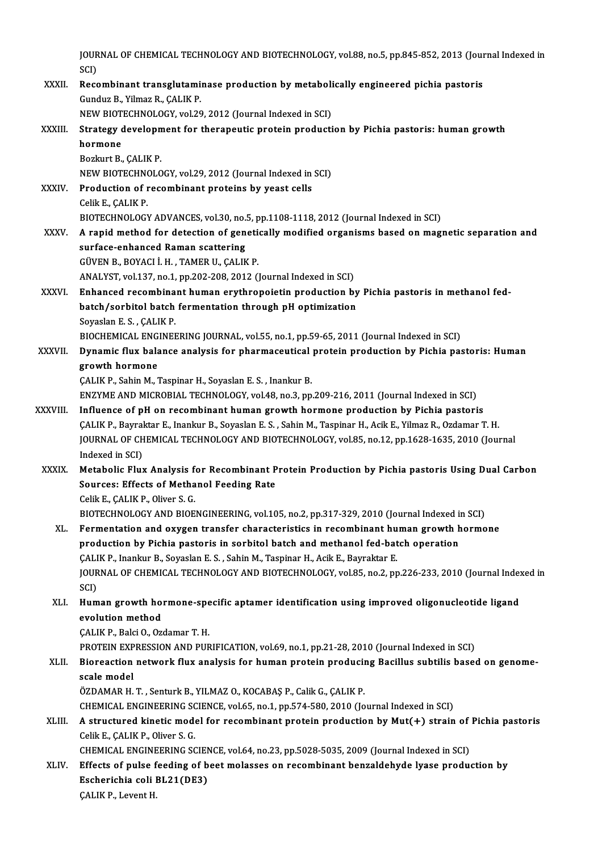JOURNAL OF CHEMICAL TECHNOLOGY AND BIOTECHNOLOGY, vol.88, no.5, pp.845-852, 2013 (Journal Indexed in<br>SCD

- JOUR<br>SCI)<br>Bass JOURNAL OF CHEMICAL TECHNOLOGY AND BIOTECHNOLOGY, vol.88, no.5, pp.845-852, 2013 (Journal SCI)<br>SCI)<br>XXXII. Recombinant transglutaminase production by metabolically engineered pichia pastoris<br>Cundus B. Vilmar B. CALIV B. SCI)<br>Recombinant transglutaminase production by metabolically engineered pichia pastoris<br>Gunduz B., Yilmaz R., ÇALIK P. Recombinant transglutaminase production by metaboli<br>Gunduz B., Yilmaz R., ÇALIK P.<br>NEW BIOTECHNOLOGY, vol.29, 2012 (Journal Indexed in SCI)<br>Strategy development for therepoutic protein producti Gunduz B., Yilmaz R., ÇALIK P.<br>NEW BIOTECHNOLOGY, vol.29, 2012 (Journal Indexed in SCI)<br>XXXIII. Strategy development for therapeutic protein production by Pichia pastoris: human growth<br>hermene NEW BIOT<br>Strategy<br>hormone<br>Borlurt B **Strategy developn<br>hormone<br>Bozkurt B., ÇALIK P.<br>NEW PIOTECHNOLO** hormone<br>Bozkurt B., ÇALIK P.<br>NEW BIOTECHNOLOGY, vol.29, 2012 (Journal Indexed in SCI) Bozkurt B., ÇALIK P.<br>NEW BIOTECHNOLOGY, vol.29, 2012 (Journal Indexed in<br>XXXIV. Production of recombinant proteins by yeast cells<br>Colik E. CALIK P. NEW BIOTECHN<mark><br>Production of 1</mark><br>Celik E., ÇALIK P.<br>PIOTECHNOLOCY Celik E., ÇALIK P.<br>BIOTECHNOLOGY ADVANCES, vol.30, no.5, pp.1108-1118, 2012 (Journal Indexed in SCI) Celik E., ÇALIK P.<br>BIOTECHNOLOGY ADVANCES, vol.30, no.5, pp.1108-1118, 2012 (Journal Indexed in SCI)<br>XXXV. A rapid method for detection of genetically modified organisms based on magnetic separation and<br>surface onhance BIOTECHNOLOGY ADVANCES, vol.30, no.<br>A rapid method for detection of generative and scattering<br>surface-enhanced Raman scattering surface-enhanced Raman scattering<br>GÜVEN B., BOYACI İ.H., TAMER U., ÇALIK P. ANALYST, vol.137, no.1, pp.202-208, 2012 (Journal Indexed in SCI) GÜVEN B., BOYACI İ. H. , TAMER U., ÇALIK P.<br>ANALYST, vol.137, no.1, pp.202-208, 2012 (Journal Indexed in SCI)<br>XXXVI. Enhanced recombinant human erythropoietin production by Pichia pastoris in methanol fed-<br>batch (sorbital ANALYST, vol.137, no.1, pp.202-208, 2012 (Journal Indexed in SCI)<br>Enhanced recombinant human erythropoietin production by<br>batch/sorbitol batch fermentation through pH optimization<br>Seveelan E.S., CALIV P. Enhanced recombina<br>batch/sorbitol batch<br>Soyaslan E. S. , ÇALIK P.<br>PIOCHEMICAL ENCINER batch/sorbitol batch fermentation through pH optimization<br>Soyaslan E. S. , ÇALIK P.<br>BIOCHEMICAL ENGINEERING JOURNAL, vol.55, no.1, pp.59-65, 2011 (Journal Indexed in SCI)<br>Dunamia fluy balange analygia for pharmaceutical pr Soyaslan E. S. , ÇALIK P.<br>BIOCHEMICAL ENGINEERING JOURNAL, vol.55, no.1, pp.59-65, 2011 (Journal Indexed in SCI)<br>XXXVII. Dynamic flux balance analysis for pharmaceutical protein production by Pichia pastoris: Human<br>growth BIOCHEMICAL ENG<br>Dynamic flux bala<br>growth hormone<br>CALIK B. Sabin M. 7 ÇALIK P., Sahin M., Taspinar H., Soyaslan E. S., Inankur B. gr<mark>owth hormone</mark><br>ÇALIK P., Sahin M., Taspinar H., Soyaslan E. S. , Inankur B.<br>ENZYME AND MICROBIAL TECHNOLOGY, vol.48, no.3, pp.209-216, 2011 (Journal Indexed in SCI)<br>Influence of nH on recombinant buman growth hormone pro CALIK P., Sahin M., Taspinar H., Soyaslan E. S. , Inankur B.<br>ENZYME AND MICROBIAL TECHNOLOGY, vol.48, no.3, pp.209-216, 2011 (Journal Indexed in SCI)<br>XXXVIII. Influence of pH on recombinant human growth hormone production
- ENZYME AND MICROBIAL TECHNOLOGY, vol.48, no.3, pp.209-216, 2011 (Journal Indexed in SCI)<br>Influence of pH on recombinant human growth hormone production by Pichia pastoris<br>ÇALIK P., Bayraktar E., Inankur B., Soyaslan E. S. XXXVIII. Influence of pH on recombinant human growth hormone production by Pichia pastoris<br>CALIK P., Bayraktar E., Inankur B., Soyaslan E. S. , Sahin M., Taspinar H., Acik E., Yilmaz R., Ozdamar T. H.<br>JOURNAL OF CHEMICAL T CALIK P., Bayraktar E., Inankur B., Soyaslan E. S., Sahin M., Taspinar H., Acik E., Yilmaz R., Ozdamar T. H. JOURNAL OF CHEMICAL TECHNOLOGY AND BIOTECHNOLOGY, vol.85, no.12, pp.1628-1635, 2010 (Journal<br>Indexed in SCI)<br>XXXIX. Metabolic Flux Analysis for Recombinant Protein Production by Pichia pastoris Using Dual Carbon<br>Sources: E Indexed in SCI)<br>Metabolic Flux Analysis for Recombinant P<br>Sources: Effects of Methanol Feeding Rate<br>Celik E. CALIK B. Oliver S. C Metabolic Flux Analysis f<br>Sources: Effects of Metha<br>Celik E., ÇALIK P., Oliver S. G.<br>PLOTECHNOL OCY AND PLOE
	-

Sources: Effects of Methanol Feeding Rate<br>Celik E., ÇALIK P., Oliver S. G.<br>BIOTECHNOLOGY AND BIOENGINEERING, vol.105, no.2, pp.317-329, 2010 (Journal Indexed in SCI)<br>Fermentation and evygen transfor characteristics in nece

- Celik E., ÇALIK P., Oliver S. G.<br>BIOTECHNOLOGY AND BIOENGINEERING, vol.105, no.2, pp.317-329, 2010 (Journal Indexed in SCI)<br>XL. Fermentation and oxygen transfer characteristics in recombinant human growth hormone<br>nucdustio BIOTECHNOLOGY AND BIOENGINEERING, vol.105, no.2, pp.317-329, 2010 (Journal Indexed in<br>Fermentation and oxygen transfer characteristics in recombinant human growth h<br>production by Pichia pastoris in sorbitol batch and metha XL. Fermentation and oxygen transfer characteristics in recombinant human growth hormone<br>production by Pichia pastoris in sorbitol batch and methanol fed-batch operation JOURNAL OF CHEMICAL TECHNOLOGY AND BIOTECHNOLOGY, vol.85, no.2, pp.226-233, 2010 (Journal Indexed in<br>SCI) CALIK P., Inankur B., Soyaslan E. S., Sahin M., Taspinar H., Acik E., Bayraktar E. JOURNAL OF CHEMICAL TECHNOLOGY AND BIOTECHNOLOGY, vol.85, no.2, pp.226-233, 2010 (Journal Index<br>SCI)<br>XLI. Human growth hormone-specific aptamer identification using improved oligonucleotide ligand<br>avalution mathod
- SCI)<br>Human growth ho:<br>evolution method<br>CALIK P. Paki O. Oz Human growth hormone-spe<br>evolution method<br>ÇALIK P., Balci O., Ozdamar T. H.<br>PROTEIN EVPRESSION AND RUR

evolution method<br>ÇALIK P., Balci O., Ozdamar T. H.<br>PROTEIN EXPRESSION AND PURIFICATION, vol.69, no.1, pp.21-28, 2010 (Journal Indexed in SCI)<br>Bioreastion natural: flux analysis for human protein produsing Basillus subtilis

# CALIK P., Balci O., Ozdamar T. H.<br>PROTEIN EXPRESSION AND PURIFICATION, vol.69, no.1, pp.21-28, 2010 (Journal Indexed in SCI)<br>XLII. Bioreaction network flux analysis for human protein producing Bacillus subtilis based o PROTEIN EXP<br>Bioreaction<br>scale model<br>ÖZDAMAR H

ÖZDAMAR H.T., Senturk B., YILMAZ O., KOCABAŞ P., Calik G., ÇALIK P. scale model<br>ÖZDAMAR H. T. , Senturk B., YILMAZ O., KOCABAŞ P., Calik G., ÇALIK P.<br>CHEMICAL ENGINEERING SCIENCE, vol.65, no.1, pp.574-580, 2010 (Journal Indexed in SCI)<br>A structured kinetis model for resembinent pretain pre ÖZDAMAR H. T. , Senturk B., YILMAZ O., KOCABAŞ P., Calik G., ÇALIK P.<br>CHEMICAL ENGINEERING SCIENCE, vol.65, no.1, pp.574-580, 2010 (Journal Indexed in SCI)<br>XLIII. A structured kinetic model for recombinant protein producti

# CHEMICAL ENGINEERING SC<br>**A structured kinetic mode**<br>Celik E., ÇALIK P., Oliver S. G.<br>CHEMICAL ENGINEERING SC A structured kinetic model for recombinant protein production by Mut(+) strain of<br>Celik E., ÇALIK P., Oliver S. G.<br>CHEMICAL ENGINEERING SCIENCE, vol.64, no.23, pp.5028-5035, 2009 (Journal Indexed in SCI)<br>Effects of pulse f Celik E., ÇALIK P., Oliver S. G.<br>CHEMICAL ENGINEERING SCIENCE, vol.64, no.23, pp.5028-5035, 2009 (Journal Indexed in SCI)<br>XLIV. Effects of pulse feeding of beet molasses on recombinant benzaldehyde lyase production by

CHEMICAL ENGINEERING SCIENCE, vol.64, no.23, pp.5028-5035, 2009 (Journal Indexed in SCI)<br>Effects of pulse feeding of beet molasses on recombinant benzaldehyde lyase produ<br>Escherichia coli BL21(DE3)<br>CALIK P., Levent H. Escherichia coli BL21(DE3)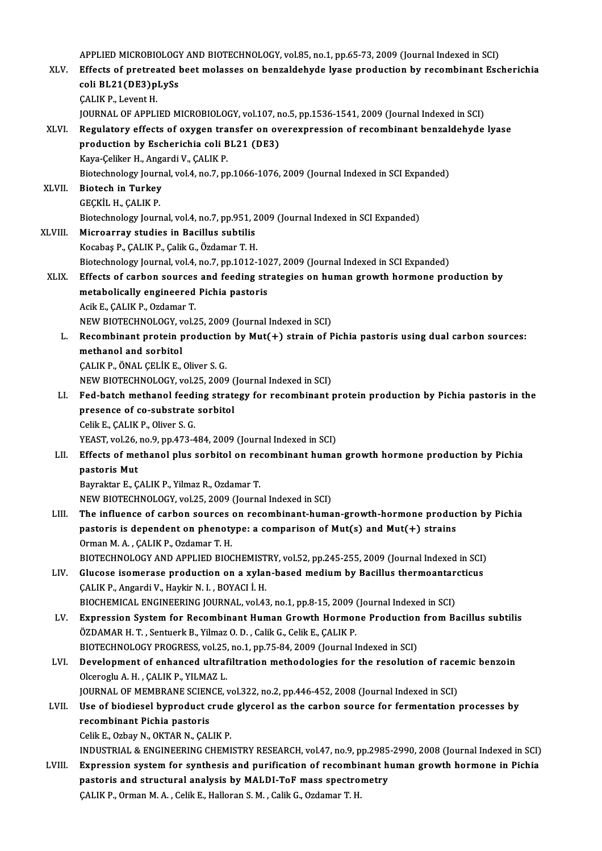|         | APPLIED MICROBIOLOGY AND BIOTECHNOLOGY, vol.85, no.1, pp.65-73, 2009 (Journal Indexed in SCI)                                                                                         |
|---------|---------------------------------------------------------------------------------------------------------------------------------------------------------------------------------------|
| XLV.    | Effects of pretreated beet molasses on benzaldehyde lyase production by recombinant Escherichia                                                                                       |
|         | coli BL21(DE3)pLySs                                                                                                                                                                   |
|         | <b>ÇALIK P., Levent H.</b>                                                                                                                                                            |
|         | JOURNAL OF APPLIED MICROBIOLOGY, vol.107, no.5, pp.1536-1541, 2009 (Journal Indexed in SCI)                                                                                           |
| XLVI.   | Regulatory effects of oxygen transfer on overexpression of recombinant benzaldehyde lyase                                                                                             |
|         | production by Escherichia coli BL21 (DE3)                                                                                                                                             |
|         | Kaya-Çeliker H., Angardi V., ÇALIK P.                                                                                                                                                 |
|         | Biotechnology Journal, vol.4, no.7, pp.1066-1076, 2009 (Journal Indexed in SCI Expanded)                                                                                              |
| XLVII.  | <b>Biotech in Turkey</b><br>GEÇKİL H., ÇALIK P.                                                                                                                                       |
|         | Biotechnology Journal, vol.4, no.7, pp.951, 2009 (Journal Indexed in SCI Expanded)                                                                                                    |
| XLVIII. | Microarray studies in Bacillus subtilis                                                                                                                                               |
|         | Kocabaş P., ÇALIK P., Çalik G., Özdamar T. H.                                                                                                                                         |
|         | Biotechnology Journal, vol.4, no.7, pp.1012-1027, 2009 (Journal Indexed in SCI Expanded)                                                                                              |
| XLIX.   | Effects of carbon sources and feeding strategies on human growth hormone production by                                                                                                |
|         | metabolically engineered Pichia pastoris                                                                                                                                              |
|         | Acik E., ÇALIK P., Ozdamar T.                                                                                                                                                         |
|         | NEW BIOTECHNOLOGY, vol.25, 2009 (Journal Indexed in SCI)                                                                                                                              |
| L.      | Recombinant protein production by Mut(+) strain of Pichia pastoris using dual carbon sources:                                                                                         |
|         | methanol and sorbitol                                                                                                                                                                 |
|         | ÇALIK P., ÖNAL ÇELİK E., Oliver S. G.                                                                                                                                                 |
|         | NEW BIOTECHNOLOGY, vol.25, 2009 (Journal Indexed in SCI)                                                                                                                              |
| LI.     | Fed-batch methanol feeding strategy for recombinant protein production by Pichia pastoris in the                                                                                      |
|         | presence of co-substrate sorbitol                                                                                                                                                     |
|         | Celik E., ÇALIK P., Oliver S. G.                                                                                                                                                      |
|         | YEAST, vol.26, no.9, pp.473-484, 2009 (Journal Indexed in SCI)                                                                                                                        |
| LII.    | Effects of methanol plus sorbitol on recombinant human growth hormone production by Pichia<br>pastoris Mut                                                                            |
|         | Bayraktar E., ÇALIK P., Yilmaz R., Ozdamar T.                                                                                                                                         |
|         | NEW BIOTECHNOLOGY, vol.25, 2009 (Journal Indexed in SCI)                                                                                                                              |
| LIII.   | The influence of carbon sources on recombinant-human-growth-hormone production by Pichia                                                                                              |
|         | pastoris is dependent on phenotype: a comparison of Mut(s) and Mut(+) strains                                                                                                         |
|         | Orman M. A., ÇALIK P., Ozdamar T. H.                                                                                                                                                  |
|         | BIOTECHNOLOGY AND APPLIED BIOCHEMISTRY, vol.52, pp.245-255, 2009 (Journal Indexed in SCI)                                                                                             |
| LIV.    | Glucose isomerase production on a xylan-based medium by Bacillus thermoantarcticus                                                                                                    |
|         | ÇALIK P., Angardi V., Haykir N. I., BOYACI İ. H.                                                                                                                                      |
|         | BIOCHEMICAL ENGINEERING JOURNAL, vol.43, no.1, pp.8-15, 2009 (Journal Indexed in SCI)                                                                                                 |
| LV.     | Expression System for Recombinant Human Growth Hormone Production from Bacillus subtilis                                                                                              |
|         | ÖZDAMAR H. T., Sentuerk B., Yilmaz O. D., Calik G., Celik E., CALIK P.                                                                                                                |
|         | BIOTECHNOLOGY PROGRESS, vol.25, no.1, pp.75-84, 2009 (Journal Indexed in SCI)                                                                                                         |
| LVI.    | Development of enhanced ultrafiltration methodologies for the resolution of racemic benzoin                                                                                           |
|         | Olceroglu A. H., CALIK P., YILMAZ L.                                                                                                                                                  |
| LVII.   | JOURNAL OF MEMBRANE SCIENCE, vol.322, no.2, pp.446-452, 2008 (Journal Indexed in SCI)<br>Use of biodiesel byproduct crude glycerol as the carbon source for fermentation processes by |
|         | recombinant Pichia pastoris                                                                                                                                                           |
|         | Celik E., Ozbay N., OKTAR N., ÇALIK P.                                                                                                                                                |
|         | INDUSTRIAL & ENGINEERING CHEMISTRY RESEARCH, vol.47, no.9, pp.2985-2990, 2008 (Journal Indexed in SCI)                                                                                |
| LVIII.  | Expression system for synthesis and purification of recombinant human growth hormone in Pichia                                                                                        |
|         | pastoris and structural analysis by MALDI-ToF mass spectrometry                                                                                                                       |
|         | ÇALIK P., Orman M. A., Celik E., Halloran S. M., Calik G., Ozdamar T. H.                                                                                                              |
|         |                                                                                                                                                                                       |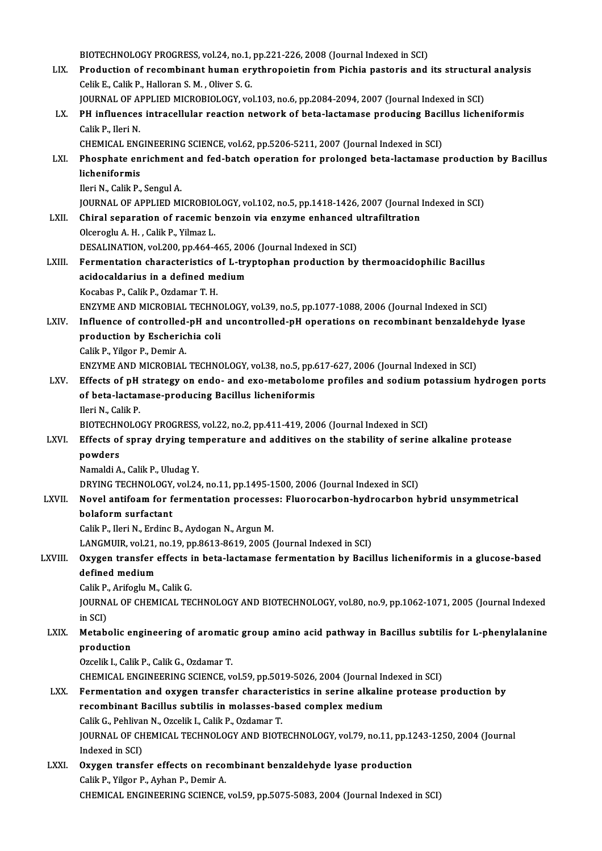BIOTECHNOLOGY PROGRESS, vol.24, no.1, pp.221-226, 2008 (Journal Indexed in SCI)<br>Production of recombinant buman exuthropoistin from Bishia postaris and

BIOTECHNOLOGY PROGRESS, vol.24, no.1, pp.221-226, 2008 (Journal Indexed in SCI)<br>LIX. Production of recombinant human erythropoietin from Pichia pastoris and its structural analysis BIOTECHNOLOGY PROGRESS, vol.24, no.1,<br>Production of recombinant human erg.<br>Celik E., Calik P., Halloran S. M. , Oliver S. G.<br>JOUPNAL OF APPLIED MICROBIOLOCY .vo Production of recombinant human erythropoietin from Pichia pastoris and its structura<br>Celik E., Calik P., Halloran S. M. , Oliver S. G.<br>JOURNAL OF APPLIED MICROBIOLOGY, vol.103, no.6, pp.2084-2094, 2007 (Journal Indexed in Celik E., Calik P., Halloran S. M. , Oliver S. G.<br>JOURNAL OF APPLIED MICROBIOLOGY, vol.103, no.6, pp.2084-2094, 2007 (Journal Indexed in SCI)<br>LX. PH influences intracellular reaction network of beta-lactamase producing Bac JOURNAL OF APPLIED MICROBIOLOGY, vol.103, no.6, pp.2084-2094, 2007 (Journal Indexed in SCI)<br>PH influences intracellular reaction network of beta-lactamase producing Bacillus liche<br>Calik P., Ileri N. PH influences intracellular reaction network of beta-lactamase producing Baci<br>Calik P., Ileri N.<br>CHEMICAL ENGINEERING SCIENCE, vol.62, pp.5206-5211, 2007 (Journal Indexed in SCI)<br>Phoephate engishment and fed hatsh energtio Calik P., Ileri N.<br>CHEMICAL ENGINEERING SCIENCE, vol.62, pp.5206-5211, 2007 (Journal Indexed in SCI)<br>LXI. Phosphate enrichment and fed-batch operation for prolonged beta-lactamase production by Bacillus<br>lichanifarmic CHEMICAL ENGINEERING SCIENCE, vol.62, pp.5206-5211, 2007 (Journal Indexed in SCI)<br>Phosphate enrichment and fed-batch operation for prolonged beta-lactamase<br>licheniformis<br>Ileri N., Calik P., Sengul A. **Phosphate enrichment<br>licheniformis<br>Ileri N., Calik P., Sengul A.<br>JOUPMAL OF APPLIED MI** licheniformis<br>Ileri N., Calik P., Sengul A.<br>JOURNAL OF APPLIED MICROBIOLOGY, vol.102, no.5, pp.1418-1426, 2007 (Journal Indexed in SCI)<br>Chiral senaration of resemis bengoin uje engume enhanced ultrafiltration lleri N., Calik P., Sengul A.<br>JOURNAL OF APPLIED MICROBIOLOGY, vol.102, no.5, pp.1418-1426, 2007 (Journal l<br>LXII. Chiral separation of racemic benzoin via enzyme enhanced ultrafiltration<br>Qleenegly A. H., Calik P. Vilmeg J. JOURNAL OF APPLIED MICROBIO<br>Chiral separation of racemic l<br>Olceroglu A. H. , Calik P., Yilmaz L.<br>DESALINATION .val 300, pp.464.4 Chiral separation of racemic benzoin via enzyme enhanced u<br>Olceroglu A. H. , Calik P., Yilmaz L.<br>DESALINATION, vol.200, pp.464-465, 2006 (Journal Indexed in SCI)<br>Fermentation characteristics of L. truntenhen production by Olceroglu A. H. , Calik P., Yilmaz L.<br>DESALINATION, vol.200, pp.464-465, 2006 (Journal Indexed in SCI)<br>LXIII. Fermentation characteristics of L-tryptophan production by thermoacidophilic Bacillus<br>acideophilic in a defined DESALINATION, vol.200, pp.464-465, 200<br>Fermentation characteristics of L-try<br>acidocaldarius in a defined medium<br>Kesphas B. Colik B. Ordamar T. H Fermentation characteristics<br>acidocaldarius in a defined me<br>Kocabas P., Calik P., Ozdamar T. H.<br>ENZVME AND MICROBIAL TECUN acidocaldarius in a defined medium<br>Kocabas P., Calik P., Ozdamar T. H.<br>ENZYME AND MICROBIAL TECHNOLOGY, vol.39, no.5, pp.1077-1088, 2006 (Journal Indexed in SCI) Kocabas P., Calik P., Ozdamar T. H.<br>ENZYME AND MICROBIAL TECHNOLOGY, vol.39, no.5, pp.1077-1088, 2006 (Journal Indexed in SCI)<br>LXIV. Influence of controlled-pH and uncontrolled-pH operations on recombinant benzaldehyde lya ENZYME AND MICROBIAL TECHNO<br>Influence of controlled-pH and<br>production by Escherichia coli<br>Colik B. Vilgar B. Domin A Influence of controlled<br>production by Escheric<br>Calik P., Yilgor P., Demir A.<br>ENZVME AND MICROBIAL production by Escherichia coli<br>Calik P., Yilgor P., Demir A.<br>ENZYME AND MICROBIAL TECHNOLOGY, vol.38, no.5, pp.617-627, 2006 (Journal Indexed in SCI) Calik P., Yilgor P., Demir A.<br>ENZYME AND MICROBIAL TECHNOLOGY, vol.38, no.5, pp.617-627, 2006 (Journal Indexed in SCI)<br>LXV. Effects of pH strategy on endo- and exo-metabolome profiles and sodium potassium hydrogen ports<br>of ENZYME AND MICROBIAL TECHNOLOGY, vol.38, no.5, pp.6<br>Effects of pH strategy on endo- and exo-metabolom<br>of beta-lactamase-producing Bacillus licheniformis<br><sup>Hori M.</sup> Calik P **Effects of pH<br>of beta-lactan<br>Ileri N., Calik P.<br>PIOTECHNOLO** of beta-lactamase-producing Bacillus licheniformis<br>Ileri N., Calik P.<br>BIOTECHNOLOGY PROGRESS, vol.22, no.2, pp.411-419, 2006 (Journal Indexed in SCI)<br>Effects of spray druing tomporature and additives on the stability of se lleri N., Calik P.<br>BIOTECHNOLOGY PROGRESS, vol.22, no.2, pp.411-419, 2006 (Journal Indexed in SCI)<br>LXVI. Effects of spray drying temperature and additives on the stability of serine alkaline protease<br>noviders BIOTECHN<br>Effects of<br>powders<br>Namaldi A Effects of spray drying ter<br>powders<br>Namaldi A., Calik P., Uludag Y.<br>DRYING TECHNOLOCY vol 24 powders<br>Namaldi A., Calik P., Uludag Y.<br>DRYING TECHNOLOGY, vol.24, no.11, pp.1495-1500, 2006 (Journal Indexed in SCI)<br>Novel antifoam for formentation processes: Eluerosarbon bydrosarbon b Namaldi A., Calik P., Uludag Y.<br>DRYING TECHNOLOGY, vol.24, no.11, pp.1495-1500, 2006 (Journal Indexed in SCI)<br>LXVII. Novel antifoam for fermentation processes: Fluorocarbon-hydrocarbon hybrid unsymmetrical<br>bolaform surfact DRYING TECHNOLOGY,<br>Novel antifoam for f<br>bolaform surfactant<br>Colik B. Hori N. Ending Calik P., Ileri N., Erdinc B., Aydogan N., Argun M. LANGMUIR, vol.21, no.19, pp.8613-8619, 2005 (Journal Indexed in SCI) Calik P., Ileri N., Erdinc B., Aydogan N., Argun M.<br>LANGMUIR, vol.21, no.19, pp.8613-8619, 2005 (Journal Indexed in SCI)<br>LXVIII. Oxygen transfer effects in beta-lactamase fermentation by Bacillus licheniformis in a glucose LANGMUIR, vol.21,<br>Oxygen transfer<br>defined medium Oxygen transfer effects i<br>defined medium<br>Calik P., Arifoglu M., Calik G.<br>JOUPNAL OF CHEMICAL TE defined medium<br>Calik P., Arifoglu M., Calik G.<br>JOURNAL OF CHEMICAL TECHNOLOGY AND BIOTECHNOLOGY, vol.80, no.9, pp.1062-1071, 2005 (Journal Indexed<br>in SCD Calik P<br>JOURNA<br>in SCI)<br>Motab JOURNAL OF CHEMICAL TECHNOLOGY AND BIOTECHNOLOGY, vol.80, no.9, pp.1062-1071, 2005 (Journal Indexed<br>in SCI)<br>LXIX. Metabolic engineering of aromatic group amino acid pathway in Bacillus subtilis for L-phenylalanine<br>needusti in SCI)<br>Metabolic e:<br>production<br>Ozselik L-Cali Metabolic engineering of aromati<br>production<br>Ozcelik I., Calik P., Calik G., Ozdamar T.<br>CHEMICAL ENCINEERING SCIENCE ... production<br>Ozcelik I., Calik P., Calik G., Ozdamar T.<br>CHEMICAL ENGINEERING SCIENCE, vol.59, pp.5019-5026, 2004 (Journal Indexed in SCI)<br>Fermentation and exugen transfor characteristics in serine alkaline protesse p Ozcelik I., Calik P., Calik G., Ozdamar T.<br>CHEMICAL ENGINEERING SCIENCE, vol.59, pp.5019-5026, 2004 (Journal Indexed in SCI)<br>LXX. Fermentation and oxygen transfer characteristics in serine alkaline protease production by<br>r CHEMICAL ENGINEERING SCIENCE, vol.59, pp.5019-5026, 2004 (Journal In<br>Fermentation and oxygen transfer characteristics in serine alkalin<br>recombinant Bacillus subtilis in molasses-based complex medium<br>Calik C. Boblivan N. Oz Fermentation and oxygen transfer character<br>recombinant Bacillus subtilis in molasses-ba<br>Calik G., Pehlivan N., Ozcelik I., Calik P., Ozdamar T.<br>JOUPNAL OF CHEMICAL TECHNOLOCY AND BIOTI recombinant Bacillus subtilis in molasses-based complex medium<br>Calik G., Pehlivan N., Ozcelik I., Calik P., Ozdamar T.<br>JOURNAL OF CHEMICAL TECHNOLOGY AND BIOTECHNOLOGY, vol.79, no.11, pp.1243-1250, 2004 (Journal<br>Indeved in Calik G., Pehliva<br>JOURNAL OF CH<br>Indexed in SCI)<br>Ouwsen transf JOURNAL OF CHEMICAL TECHNOLOGY AND BIOTECHNOLOGY, vol.79, no.11, pp.12<br>Indexed in SCI)<br>LXXI. Oxygen transfer effects on recombinant benzaldehyde lyase production<br>Calila B. Vilgar B. Ayban B. Domin A Indexed in SCI)<br>Oxygen transfer effects on recombinant benzaldehyde lyase production<br>Calik P., Yilgor P., Ayhan P., Demir A. CHEMICAL ENGINEERING SCIENCE, vol.59, pp.5075-5083, 2004 (Journal Indexed in SCI)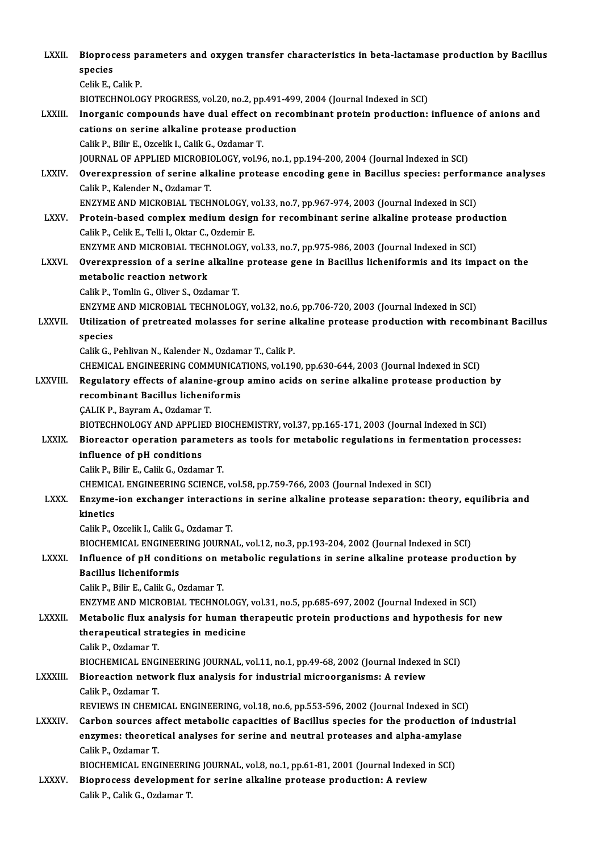| LXXII.         | Bioprocess parameters and oxygen transfer characteristics in beta-lactamase production by Bacillus                                                                                          |
|----------------|---------------------------------------------------------------------------------------------------------------------------------------------------------------------------------------------|
|                | species                                                                                                                                                                                     |
|                | Celik E, Calik P.<br>BIOTECHNOLOGY PROGRESS, vol.20, no.2, pp.491-499, 2004 (Journal Indexed in SCI)                                                                                        |
| LXXIII.        | Inorganic compounds have dual effect on recombinant protein production: influence of anions and                                                                                             |
|                | cations on serine alkaline protease production                                                                                                                                              |
|                | Calik P., Bilir E., Ozcelik I., Calik G., Ozdamar T.                                                                                                                                        |
|                | JOURNAL OF APPLIED MICROBIOLOGY, vol.96, no.1, pp.194-200, 2004 (Journal Indexed in SCI)                                                                                                    |
| <b>LXXIV</b>   | Overexpression of serine alkaline protease encoding gene in Bacillus species: performance analyses                                                                                          |
|                | Calik P., Kalender N., Ozdamar T.                                                                                                                                                           |
|                | ENZYME AND MICROBIAL TECHNOLOGY, vol.33, no.7, pp.967-974, 2003 (Journal Indexed in SCI)                                                                                                    |
| <b>LXXV</b>    | Protein-based complex medium design for recombinant serine alkaline protease production                                                                                                     |
|                | Calik P., Celik E., Telli I., Oktar C., Ozdemir E.                                                                                                                                          |
|                | ENZYME AND MICROBIAL TECHNOLOGY, vol.33, no.7, pp.975-986, 2003 (Journal Indexed in SCI)                                                                                                    |
| <b>LXXVI</b>   | Overexpression of a serine alkaline protease gene in Bacillus licheniformis and its impact on the                                                                                           |
|                | metabolic reaction network                                                                                                                                                                  |
|                | Calik P., Tomlin G., Oliver S., Ozdamar T.                                                                                                                                                  |
|                | ENZYME AND MICROBIAL TECHNOLOGY, vol.32, no.6, pp.706-720, 2003 (Journal Indexed in SCI)                                                                                                    |
| <b>LXXVII.</b> | Utilization of pretreated molasses for serine alkaline protease production with recombinant Bacillus                                                                                        |
|                | species                                                                                                                                                                                     |
|                | Calik G., Pehlivan N., Kalender N., Ozdamar T., Calik P.                                                                                                                                    |
|                | CHEMICAL ENGINEERING COMMUNICATIONS, vol.190, pp.630-644, 2003 (Journal Indexed in SCI)                                                                                                     |
| LXXVIII.       | Regulatory effects of alanine-group amino acids on serine alkaline protease production by                                                                                                   |
|                | recombinant Bacillus licheniformis                                                                                                                                                          |
|                | ÇALIK P., Bayram A., Ozdamar T.                                                                                                                                                             |
|                | BIOTECHNOLOGY AND APPLIED BIOCHEMISTRY, vol.37, pp.165-171, 2003 (Journal Indexed in SCI)                                                                                                   |
| <b>LXXIX</b>   | Bioreactor operation parameters as tools for metabolic regulations in fermentation processes:                                                                                               |
|                | influence of pH conditions                                                                                                                                                                  |
|                | Calik P., Bilir E., Calik G., Ozdamar T.                                                                                                                                                    |
|                | CHEMICAL ENGINEERING SCIENCE, vol.58, pp.759-766, 2003 (Journal Indexed in SCI)                                                                                                             |
| <b>LXXX</b>    | Enzyme-ion exchanger interactions in serine alkaline protease separation: theory, equilibria and<br>kinetics                                                                                |
|                | Calik P., Ozcelik I., Calik G., Ozdamar T.                                                                                                                                                  |
|                | BIOCHEMICAL ENGINEERING JOURNAL, vol.12, no.3, pp.193-204, 2002 (Journal Indexed in SCI)                                                                                                    |
| LXXXI.         | Influence of pH conditions on metabolic regulations in serine alkaline protease production by                                                                                               |
|                | <b>Bacillus licheniformis</b>                                                                                                                                                               |
|                | Calik P., Bilir E., Calik G., Ozdamar T.                                                                                                                                                    |
|                | ENZYME AND MICROBIAL TECHNOLOGY, vol.31, no.5, pp.685-697, 2002 (Journal Indexed in SCI)                                                                                                    |
| LXXXII.        | Metabolic flux analysis for human therapeutic protein productions and hypothesis for new                                                                                                    |
|                | therapeutical strategies in medicine                                                                                                                                                        |
|                | Calik P., Ozdamar T.                                                                                                                                                                        |
|                | BIOCHEMICAL ENGINEERING JOURNAL, vol.11, no.1, pp.49-68, 2002 (Journal Indexed in SCI)                                                                                                      |
| <b>LXXXIII</b> | Bioreaction network flux analysis for industrial microorganisms: A review                                                                                                                   |
|                | Calik P, Ozdamar T.                                                                                                                                                                         |
|                | REVIEWS IN CHEMICAL ENGINEERING, vol.18, no.6, pp.553-596, 2002 (Journal Indexed in SCI)<br>Carbon sources affect metabolic capacities of Bacillus species for the production of industrial |
| <b>LXXXIV</b>  | enzymes: theoretical analyses for serine and neutral proteases and alpha-amylase                                                                                                            |
|                | Calik P, Ozdamar T                                                                                                                                                                          |
|                | BIOCHEMICAL ENGINEERING JOURNAL, vol.8, no.1, pp.61-81, 2001 (Journal Indexed in SCI)                                                                                                       |
| <b>LXXXV.</b>  | Bioprocess development for serine alkaline protease production: A review                                                                                                                    |
|                | Calik P., Calik G., Ozdamar T.                                                                                                                                                              |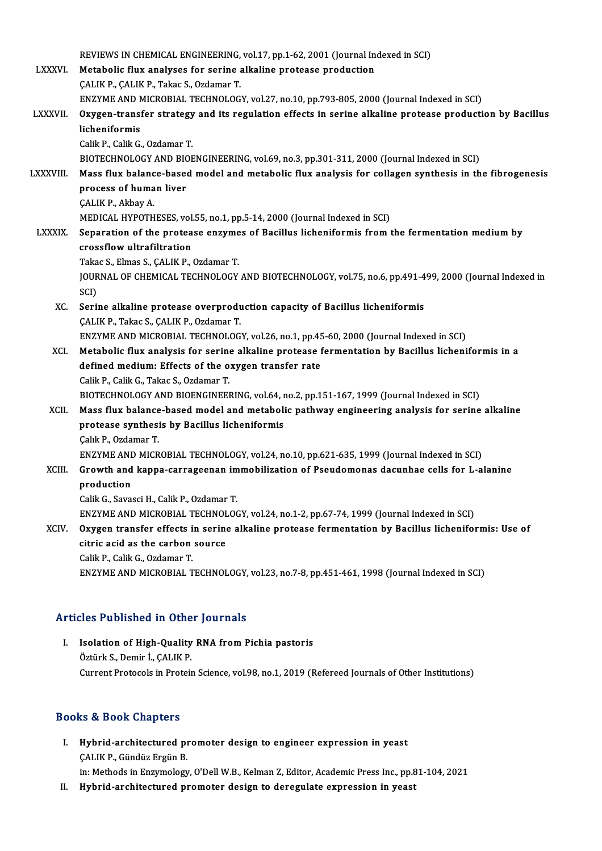|                 | REVIEWS IN CHEMICAL ENGINEERING, vol.17, pp.1-62, 2001 (Journal Indexed in SCI)                                         |
|-----------------|-------------------------------------------------------------------------------------------------------------------------|
| <b>LXXXVI</b>   | Metabolic flux analyses for serine alkaline protease production                                                         |
|                 | ÇALIK P., ÇALIK P., Takac S., Ozdamar T.                                                                                |
|                 | ENZYME AND MICROBIAL TECHNOLOGY, vol.27, no.10, pp.793-805, 2000 (Journal Indexed in SCI)                               |
| <b>LXXXVII</b>  | Oxygen-transfer strategy and its regulation effects in serine alkaline protease production by Bacillus<br>licheniformis |
|                 | Calik P., Calik G., Ozdamar T.                                                                                          |
|                 | BIOTECHNOLOGY AND BIOENGINEERING, vol.69, no.3, pp.301-311, 2000 (Journal Indexed in SCI)                               |
| <b>LXXXVIII</b> | Mass flux balance-based model and metabolic flux analysis for collagen synthesis in the fibrogenesis                    |
|                 | process of human liver                                                                                                  |
|                 | ÇALIK P., Akbay A.                                                                                                      |
|                 | MEDICAL HYPOTHESES, vol.55, no.1, pp.5-14, 2000 (Journal Indexed in SCI)                                                |
| <b>LXXXIX</b>   | Separation of the protease enzymes of Bacillus licheniformis from the fermentation medium by                            |
|                 | crossflow ultrafiltration                                                                                               |
|                 | Takac S., Elmas S., CALIK P., Ozdamar T.                                                                                |
|                 | JOURNAL OF CHEMICAL TECHNOLOGY AND BIOTECHNOLOGY, vol.75, no.6, pp.491-499, 2000 (Journal Indexed in                    |
|                 | SCI)                                                                                                                    |
| XC.             | Serine alkaline protease overproduction capacity of Bacillus licheniformis                                              |
|                 | ÇALIK P., Takac S., ÇALIK P., Ozdamar T.                                                                                |
|                 | ENZYME AND MICROBIAL TECHNOLOGY, vol.26, no.1, pp.45-60, 2000 (Journal Indexed in SCI)                                  |
| XCI.            | Metabolic flux analysis for serine alkaline protease fermentation by Bacillus licheniformis in a                        |
|                 | defined medium: Effects of the oxygen transfer rate                                                                     |
|                 | Calik P., Calik G., Takac S., Ozdamar T.                                                                                |
|                 | BIOTECHNOLOGY AND BIOENGINEERING, vol.64, no.2, pp.151-167, 1999 (Journal Indexed in SCI)                               |
| XCII.           | Mass flux balance-based model and metabolic pathway engineering analysis for serine alkaline                            |
|                 | protease synthesis by Bacillus licheniformis                                                                            |
|                 | Çalık P., Ozdamar T.                                                                                                    |
|                 | ENZYME AND MICROBIAL TECHNOLOGY, vol.24, no.10, pp.621-635, 1999 (Journal Indexed in SCI)                               |
| XCIII.          | Growth and kappa-carrageenan immobilization of Pseudomonas dacunhae cells for L-alanine                                 |
|                 | production                                                                                                              |
|                 | Calik G., Savasci H., Calik P., Ozdamar T.                                                                              |
|                 | ENZYME AND MICROBIAL TECHNOLOGY, vol.24, no.1-2, pp.67-74, 1999 (Journal Indexed in SCI)                                |
| XCIV.           | Oxygen transfer effects in serine alkaline protease fermentation by Bacillus licheniformis: Use of                      |
|                 | citric acid as the carbon source                                                                                        |
|                 | Calik P., Calik G., Ozdamar T.                                                                                          |
|                 | ENZYME AND MICROBIAL TECHNOLOGY, vol.23, no.7-8, pp.451-461, 1998 (Journal Indexed in SCI)                              |
|                 |                                                                                                                         |

## Articles Published in Other Journals

I. Isolation of High-Quality RNA from Pichia pastoris ÖztürkS.,Demir İ.,ÇALIKP. Current Protocols in Protein Science, vol.98, no.1, 2019 (Refereed Journals of Other Institutions)

### Books&Book Chapters

- I. Hybrid-architectured promoter design to engineer expression in yeast ÇALIK P., Gündüz Ergün B. Hybrid-architectured promoter design to engineer expression in yeast<br>ÇALIK P., Gündüz Ergün B.<br>in: Methods in Enzymology, O'Dell W.B., Kelman Z, Editor, Academic Press Inc., pp.81-104, 2021<br>Hybrid architectured promoter de ÇALIK P., Gündüz Ergün B.<br>in: Methods in Enzymology, O'Dell W.B., Kelman Z, Editor, Academic Press Inc., pp.&<br>II. Hybrid-architectured promoter design to deregulate expression in yeast
-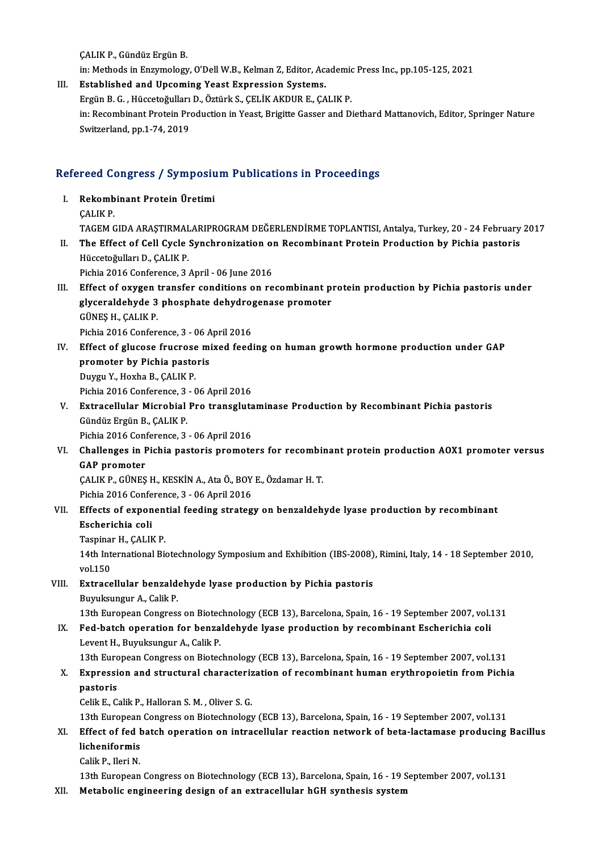ÇALIKP.,GündüzErgünB.

in: Methods in Enzymology, O'Dell W.B., Kelman Z, Editor, Academic Press Inc., pp.105-125, 2021

III. Established and Upcoming Yeast Expression Systems. in: Methods in Enzymology, O'Dell W.B., Kelman Z, Editor, Academic<br>Established and Upcoming Yeast Expression Systems.<br>Ergün B. G. , Hüccetoğulları D., Öztürk S., ÇELİK AKDUR E., ÇALIK P.<br>in: Besembinant Protein Production in: Recombinant Protein Production in Yeast, Brigitte Gasser and Diethard Mattanovich, Editor, Springer Nature<br>Switzerland, pp.1-74, 2019 Ergün B. G. , Hüccetoğulları<br>in: Recombinant Protein Pre<br>Switzerland, pp.1-74, 2019

# switzerland, pp.1-74, 2019<br>Refereed Congress / Symposium Publications in Proceedings

- efereed Congress / Symposiu<br>I. Rekombinant Protein Üretimi<br>CALIV P I. Rekombinant Protein Üretimi<br>CALIK P. Rekombinant Protein Üretimi<br>ÇALIK P.<br>TAGEM GIDA ARAŞTIRMALARIPROGRAM DEĞERLENDİRME TOPLANTISI, Antalya, Turkey, 20 - 24 February 2017<br>The Effect of Cell Cuele Synghronization en Pessembinant Protein Production by Pishia pe CALIK P.<br>TAGEM GIDA ARAŞTIRMALARIPROGRAM DEĞERLENDİRME TOPLANTISI, Antalya, Turkey, 20 - 24 February<br>II. The Effect of Cell Cycle Synchronization on Recombinant Protein Production by Pichia pastoris<br>Hijaatožulları D. C
- TAGEM GIDA ARAŞTIRMAL<br>The Effect of Cell Cycle<br>Hüccetoğulları D., ÇALIK P.<br>Pishia 2016 Conforence 2 II. The Effect of Cell Cycle Synchronization on Recombinant Protein Production by Pichia pastoris<br>Hüccetoğulları D., ÇALIK P.<br>Pichia 2016 Conference, 3 April - 06 June 2016

- III. Effect of oxygen transfer conditions on recombinant protein production by Pichia pastoris under Pichia 2016 Conference, 3 April - 06 June 2016<br>Effect of oxygen transfer conditions on recombinant p<br>glyceraldehyde 3 phosphate dehydrogenase promoter<br>CÜNES H. CALIK P Effect of oxygen<br>glyceraldehyde 3<br>GÜNEŞ H., ÇALIK P.<br>Pishia 2016 Conform glyceraldehyde 3 phosphate dehydrop<br>GÜNEŞ H., ÇALIK P.<br>Pichia 2016 Conference, 3 - 06 April 2016<br>Fffest of slusese fruspese mixed food: GÜNEŞ H., ÇALIK P.<br>Pichia 2016 Conference, 3 - 06 April 2016<br>IV. Effect of glucose frucrose mixed feeding on human growth hormone production under GAP<br>promotor by Pichia pastoris
- Pichia 2016 Conference, 3 06 A<br>Effect of glucose frucrose mi<br>promoter by Pichia pastoris<br>Duygu Y, Hoyba B, CALIK P Effect of glucose frucrose<br>promoter by Pichia pasto<br>Duygu Y., Hoxha B., ÇALIK P.<br>Pichia 2016 Conference 2. promoter by Pichia pastoris<br>Duygu Y., Hoxha B., ÇALIK P.<br>Pichia 2016 Conference, 3 - 06 April 2016<br>Extragallular Microbial Pro transslute Duygu Y., Hoxha B., ÇALIK P.<br>Pichia 2016 Conference, 3 - 06 April 2016<br>V. Extracellular Microbial Pro transglutaminase Production by Recombinant Pichia pastoris<br>Cündüz Engün B. CALIK B
- Pichia 2016 Conference, 3<br>**Extracellular Microbial**<br>Gündüz Ergün B., ÇALIK P.<br>Pishia 2016 Conference, 3. Extracellular Microbial Pro transgluta<br>Gündüz Ergün B., ÇALIK P.<br>Pichia 2016 Conference, 3 - 06 April 2016<br>Challenges in Bichia pastaris promote
	- Pichia 2016 Conference, 3 06 April 2016
- Gündüz Ergün B., ÇALIK P.<br>Pichia 2016 Conference, 3 06 April 2016<br>VI. Challenges in Pichia pastoris promoters for recombinant protein production AOX1 promoter versus<br>GAP promoter Challenges in Pichia pastoris promoters for recombi:<br>GAP promoter<br>ÇALIK P., GÜNEŞ H., KESKİN A., Ata Ö., BOY E., Özdamar H. T.<br>Pichia 2016 Conference 2 - 06 April 2016

GAP promoter<br>ÇALIK P., GÜNEŞ H., KESKİN A., Ata Ö., BOY<br>Pichia 2016 Conference, 3 - 06 April 2016<br>Effecte of experential fooding strateg

# CALIK P., GÜNEŞ H., KESKİN A., Ata Ö., BOY E., Özdamar H. T.<br>Pichia 2016 Conference, 3 - 06 April 2016<br>VII. Effects of exponential feeding strategy on benzaldehyde lyase production by recombinant<br>Escharishia sali Pichia 2016 Conference, 3 - 06 April 2016<br>Effects of exponential feeding strateg<br>Escherichia coli<br>Taspinar H., CALIK P. Effects of exponent<br>Escherichia coli<br>Taspinar H., ÇALIK P.<br>14th International Bi

Escherichia coli<br>Taspinar H., ÇALIK P.<br>14th International Biotechnology Symposium and Exhibition (IBS-2008), Rimini, Italy, 14 - 18 September 2010,<br>vol.150. Taspina<br>14th Int<br>vol.150<br>Extrace 14th International Biotechnology Symposium and Exhibition (IBS-2008)<br>vol.150<br>VIII. Extracellular benzaldehyde lyase production by Pichia pastoris<br>Purplement A. Colik P

vol.150<br><mark>Extracellular benzald</mark>e<br>Buyuksungur A., Calik P.<br>13th Euroneen Congress Extracellular benzaldehyde lyase production by Pichia pastoris<br>Buyuksungur A., Calik P.<br>13th European Congress on Biotechnology (ECB 13), Barcelona, Spain, 16 - 19 September 2007, vol.131<br>Eed hatch eneration for hangeldehy

- 
- Buyuksungur A., Calik P.<br>13th European Congress on Biotechnology (ECB 13), Barcelona, Spain, 16 19 September 2007, vol.<br>13. Fed-batch operation for benzaldehyde lyase production by recombinant Escherichia coli<br>1 event H. 13th European Congress on Biotec<br>Fed-batch operation for benza<br>Levent H., Buyuksungur A., Calik P.<br>12th European Congress on Biotec Fed-batch operation for benzaldehyde lyase production by recombinant Escherichia coli<br>Levent H., Buyuksungur A., Calik P.<br>13th European Congress on Biotechnology (ECB 13), Barcelona, Spain, 16 - 19 September 2007, vol.131<br>

# Levent H., Buyuksungur A., Calik P.<br>13th European Congress on Biotechnology (ECB 13), Barcelona, Spain, 16 - 19 September 2007, vol.131<br>X. Expression and structural characterization of recombinant human erythropoietin from 13th Euro<br>**Expressi**<br>pastoris<br>Colik E. Co Expression and structural characteriz<br>pastoris<br>Celik E., Calik P., Halloran S. M. , Oliver S. G.<br>12th European Congress on Bistechnology pastoris<br>Celik E., Calik P., Halloran S. M. , Oliver S. G.<br>13th European Congress on Biotechnology (ECB 13), Barcelona, Spain, 16 - 19 September 2007, vol.131

# Celik E., Calik P., Halloran S. M. , Oliver S. G.<br>13th European Congress on Biotechnology (ECB 13), Barcelona, Spain, 16 - 19 September 2007, vol.131<br>XI. Effect of fed batch operation on intracellular reaction network of b 13th European<br><mark>Effect of fed b</mark><br>licheniformis<br>Calik P. Hari N Effect of fed l<br>licheniformis<br>Calik P., Ileri N.<br>12th Euronean licheniformis<br>Calik P., Ileri N.<br>13th European Congress on Biotechnology (ECB 13), Barcelona, Spain, 16 - 19 September 2007, vol.131

XII. Metabolic engineering design of an extracellular hGH synthesis system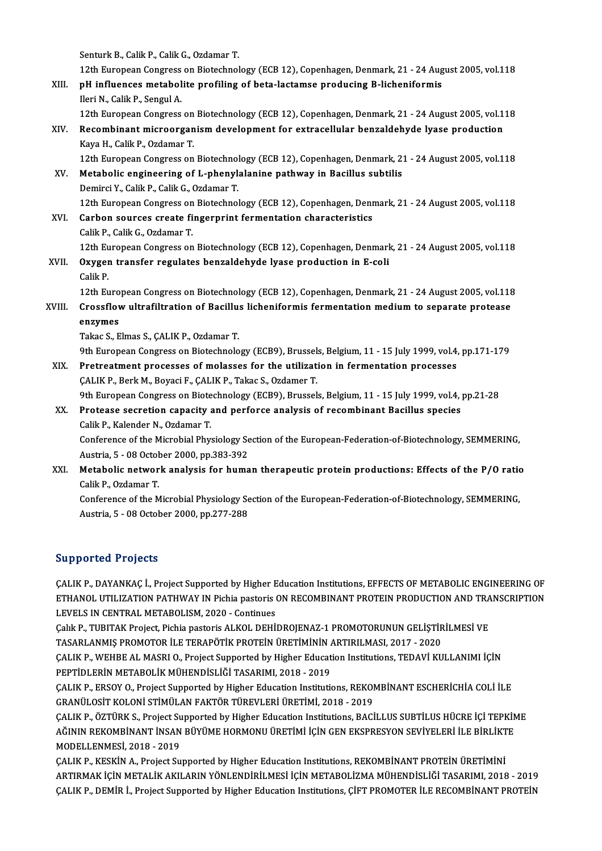Senturk B., Calik P., Calik G., Ozdamar T.

12th European Congress on Biotechnology (ECB 12), Copenhagen, Denmark, 21 - 24 August 2005, vol.118 Senturk B., Calik P., Calik G., Ozdamar T.<br>12th European Congress on Biotechnology (ECB 12), Copenhagen, Denmark, 21 - 24 Aug<br>XIII. pH influences metabolite profiling of beta-lactamse producing B-licheniformis<br>Ilori N. Cal 12th European Congress<br>pH influences metabol<br>Ileri N., Calik P., Sengul A.<br>12th European Congress

Ileri N., Calik P., Sengul A.<br>12th European Congress on Biotechnology (ECB 12), Copenhagen, Denmark, 21 - 24 August 2005, vol.118

Ileri N., Calik P., Sengul A.<br>12th European Congress on Biotechnology (ECB 12), Copenhagen, Denmark, 21 - 24 August 2005, vol.1<br>XIV. Recombinant microorganism development for extracellular benzaldehyde lyase production<br>Kay Kaya H., Calik P., Ozdamar T.<br>12th European Congress on Biotechnology (ECB 12), Copenhagen, Denmark, 21 - 24 August 2005, vol.118 Recombinant microorganism development for extracellular benzaldehyde lyase production<br>Kaya H., Calik P., Ozdamar T.<br>12th European Congress on Biotechnology (ECB 12), Copenhagen, Denmark, 21 - 24 August 2005, vol.118<br>Metabo

XV. Metabolic engineering of L-phenylalanine pathway in Bacillus subtilis Demirci Y., Calik P., Calik G., Ozdamar T. Metabolic engineering of L-phenylalanine pathway in Bacillus subtilis<br>Demirci Y., Calik P., Calik G., Ozdamar T.<br>12th European Congress on Biotechnology (ECB 12), Copenhagen, Denmark, 21 - 24 August 2005, vol.118<br>Carbon se

XVI. Carbon sources create fingerprint fermentation characteristics 12th European Congress on<br>Carbon sources create fi<br>Calik P., Calik G., Ozdamar T.<br>12th European Congress on Carbon sources create fingerprint fermentation characteristics<br>Calik P., Calik G., Ozdamar T.<br>12th European Congress on Biotechnology (ECB 12), Copenhagen, Denmark, 21 - 24 August 2005, vol.118<br>Ouveen transfor regulates be Calik P., Calik G., Ozdamar T.<br>12th European Congress on Biotechnology (ECB 12), Copenhagen, Denmark<br>XVII. Oxygen transfer regulates benzaldehyde lyase production in E-coli<br>Colik P.

# 12th Eu<br>Oxyger<br>Calik P.<br>12th Eu Oxygen transfer regulates benzaldehyde lyase production in E-coli<br>Calik P.<br>12th European Congress on Biotechnology (ECB 12), Copenhagen, Denmark, 21 - 24 August 2005, vol.118<br>Creasflow ultrafiltration of Bosillus lisbonifo

XVI I. Crossflowultrafiltration of Bacil us licheniformis fermentationmediumto separate protease 12th Euro<br>Crossflov<br>enzymes<br>Telres 5 E Crossflow ultrafiltration of Bacillus licheniformis fermentation medium to separate protease<br>enzymes<br>Takac S., Elmas S., ÇALIK P., Ozdamar T.

9th European Congress on Biotechnology (ECB9), Brussels, Belgium, 11 - 15 July 1999, vol.4, pp.171-179

XIX. Pretreatment processes of molasses for the utilization in fermentation processes ÇALIK P., Berk M., Boyaci F., ÇALIK P., Takac S., Ozdamer T. Pretreatment processes of molasses for the utilization in fermentation processes<br>CALIK P., Berk M., Boyaci F., CALIK P., Takac S., Ozdamer T.<br>9th European Congress on Biotechnology (ECB9), Brussels, Belgium, 11 - 15 July 1

XX. Protease secretion capacity and perforce analysis of recombinant Bacillus species<br>Calik P., Kalender N., Ozdamar T. 9th European Congress on Biote<br>Protease secretion capacity<br>Calik P., Kalender N., Ozdamar T.<br>Conference of the Microbial Phys Protease secretion capacity and perforce analysis of recombinant Bacillus species<br>Calik P., Kalender N., Ozdamar T.<br>Conference of the Microbial Physiology Section of the European-Federation-of-Biotechnology, SEMMERING,<br>Aus

Calik P., Kalender N., Ozdamar T.<br>Conference of the Microbial Physiology Se<br>Austria, 5 - 08 October 2000, pp.383-392<br>Metabelia network analysis for buma Conference of the Microbial Physiology Section of the European-Federation-of-Biotechnology, SEMMERING,<br>Austria, 5 - 08 October 2000, pp.383-392<br>XXI. Metabolic network analysis for human therapeutic protein productions: Eff

# Austria, 5 - 08 Octob<br>Metabolic networ<br>Calik P., Ozdamar T.<br>Conference of the N Metabolic network analysis for human therapeutic protein productions: Effects of the P/O rationalistically P., Ozdamar T.<br>Conference of the Microbial Physiology Section of the European-Federation-of-Biotechnology, SEMMERIN

Calik P., Ozdamar T.<br>Conference of the Microbial Physiology Section of the European-Federation-of-Biotechnology, SEMMERING,<br>Austria, 5 - 08 October 2000, pp.277-288

## Supported Projects

ÇALIK P., DAYANKAÇ İ., Project Supported by Higher Education Institutions, EFFECTS OF METABOLIC ENGINEERING OF ETHANOL UTILIZATION PATHWAY IN Pichia pastoris ON RECOMBINANT PROTEIN PRODUCTION AND TRANSCRIPTION LEVELS IN CENTRAL METABOLISM, 2020 - Continues ETHANOL UTILIZATION PATHWAY IN Pichia pastoris ON RECOMBINANT PROTEIN PRODUCTION AND TRA<br>LEVELS IN CENTRAL METABOLISM, 2020 - Continues<br>Çalık P., TUBITAK Project, Pichia pastoris ALKOL DEHİDROJENAZ-1 PROMOTORUNUN GELİŞTİRİ

LEVELS IN CENTRAL METABOLISM, 2020 - Continues<br>Çalık P., TUBITAK Project, Pichia pastoris ALKOL DEHİDROJENAZ-1 PROMOTORUNUN GELİŞTİR<br>TASARLANMIŞ PROMOTOR İLE TERAPÖTİK PROTEİN ÜRETİMİNİN ARTIRILMASI, 2017 - 2020<br>CALIK P. W Çalık P., TUBITAK Project, Pichia pastoris ALKOL DEHİDROJENAZ-1 PROMOTORUNUN GELİŞTİRİLMESİ VE<br>TASARLANMIŞ PROMOTOR İLE TERAPÖTİK PROTEİN ÜRETİMİNİN ARTIRILMASI, 2017 - 2020<br>ÇALIK P., WEHBE AL MASRI O., Project Supported b

TASARLANMIŞ PROMOTOR İLE TERAPÖTİK PROTEİN ÜRETİMİNİN A<br>ÇALIK P., WEHBE AL MASRI O., Project Supported by Higher Educat<br>PEPTİDLERİN METABOLİK MÜHENDİSLİĞİ TASARIMI, 2018 - 2019<br>CALIK P. EBSOV O. Project Supported by Higher ÇALIK P., WEHBE AL MASRI O., Project Supported by Higher Education Institutions, TEDAVİ KULLANIMI İÇİN<br>PEPTİDLERİN METABOLİK MÜHENDİSLİĞİ TASARIMI, 2018 - 2019<br>ÇALIK P., ERSOY O., Project Supported by Higher Education Inst

PEPTİDLERİN METABOLİK MÜHENDİSLİĞİ TASARIMI, 2018 - 2019<br>ÇALIK P., ERSOY O., Project Supported by Higher Education Institutions, REKOMBİNANT ESCHERİCHİA COLİ İLE<br>GRANÜLOSİT KOLONİ STİMÜLAN FAKTÖR TÜREVLERİ ÜRETİMİ, 2018 - ÇALIK P., ERSOY O., Project Supported by Higher Education Institutions, REKOMBİNANT ESCHERİCHİA COLİ İLE<br>GRANÜLOSİT KOLONİ STİMÜLAN FAKTÖR TÜREVLERİ ÜRETİMİ, 2018 - 2019<br>ÇALIK P., ÖZTÜRK S., Project Supported by Higher Edu

GRANÜLOSİT KOLONİ STİMÜLAN FAKTÖR TÜREVLERİ ÜRETİMİ, 2018 - 2019<br>ÇALIK P., ÖZTÜRK S., Project Supported by Higher Education Institutions, BACİLLUS SUBTİLUS HÜCRE İÇİ TEPKİN<br>AĞININ REKOMBİNANT İNSAN BÜYÜME HORMONU ÜRETİMİ İ AĞININ REKOMBİNANT İNSAN BÜYÜME HORMONU ÜRETİMİ İÇİN GEN EKSPRESYON SEVİYELERİ İLE BİRLİKTE<br>MODELLENMESİ, 2018 - 2019 AĞININ REKOMBİNANT İNSAN BÜYÜME HORMONU ÜRETİMİ İÇİN GEN EKSPRESYON SEVİYELERİ İLE BİRLİKT<br>MODELLENMESİ, 2018 - 2019<br>ÇALIK P., KESKİN A., Project Supported by Higher Education Institutions, REKOMBİNANT PROTEİN ÜRETİMİNİ<br>AR

MODELLENMESİ, 2018 - 2019<br>ÇALIK P., KESKİN A., Project Supported by Higher Education Institutions, REKOMBİNANT PROTEİN ÜRETİMİNİ<br>ARTIRMAK İÇİN METALİK AKILARIN YÖNLENDİRİLMESİ İÇİN METABOLİZMA MÜHENDİSLİĞİ TASARIMI, 2018 -ÇALIK P., KESKİN A., Project Supported by Higher Education Institutions, REKOMBİNANT PROTEİN ÜRETİMİNİ<br>ARTIRMAK İÇİN METALİK AKILARIN YÖNLENDİRİLMESİ İÇİN METABOLİZMA MÜHENDİSLİĞİ TASARIMI, 2018 - 2019<br>ÇALIK P., DEMİR İ.,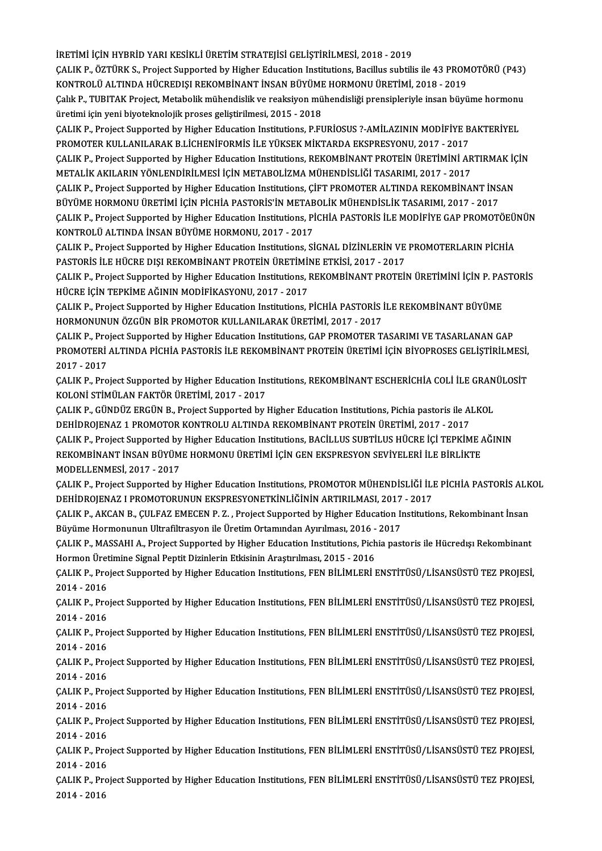İRETİMİ İÇİN HYBRİD YARI KESİKLİ ÜRETİM STRATEJİSİ GELİŞTİRİLMESİ, 2018 - 2019

ÇALIKP.,ÖZTÜRKS.,ProjectSupported byHigher EducationInstitutions,Bacilus subtilis ile 43PROMOTÖRÜ(P43) İRETİMİ İÇİN HYBRİD YARI KESİKLİ ÜRETİM STRATEJİSİ GELİŞTİRİLMESİ, 2018 - 2019<br>ÇALIK P., ÖZTÜRK S., Project Supported by Higher Education Institutions, Bacillus subtilis ile 43 PROM<br>KONTROLÜ ALTINDA HÜCREDIŞI REKOMBİNANT İ ÇALIK P., ÖZTÜRK S., Project Supported by Higher Education Institutions, Bacillus subtilis ile 43 PROMOTÖRÜ (P43)<br>KONTROLÜ ALTINDA HÜCREDIŞI REKOMBİNANT İNSAN BÜYÜME HORMONU ÜRETİMİ, 2018 - 2019<br>Çalık P., TUBITAK Project,

KONTROLÜ ALTINDA HÜCREDIŞI REKOMBİNANT İNSAN BÜYÜME<br>Çalık P., TUBITAK Project, Metabolik mühendislik ve reaksiyon mü<br>üretimi için yeni biyoteknolojik proses geliştirilmesi, 2015 - 2018<br>CALIK P. Project Supported by Higher Çalık P., TUBITAK Project, Metabolik mühendislik ve reaksiyon mühendisliği prensipleriyle insan büyüme hormonu<br>üretimi için yeni biyoteknolojik proses geliştirilmesi, 2015 - 2018<br>ÇALIK P., Project Supported by Higher Educa

üretimi için yeni biyoteknolojik proses geliştirilmesi, 2015 - 2018<br>ÇALIK P., Project Supported by Higher Education Institutions, P.FURİOSUS ?-AMİLAZININ MODİFİYE B<br>PROMOTER KULLANILARAK B.LİCHENİFORMİS İLE YÜKSEK MİKTARDA ÇALIK P., Project Supported by Higher Education Institutions, P.FURİOSUS ?-AMİLAZININ MODİFİYE BAKTERİYEL<br>PROMOTER KULLANILARAK B.LİCHENİFORMİS İLE YÜKSEK MİKTARDA EKSPRESYONU, 2017 - 2017<br>ÇALIK P., Project Supported by Hi

PROMOTER KULLANILARAK B.LİCHENİFORMİS İLE YÜKSEK MİKTARDA EKSPRESYONU, 2017 - 2017<br>ÇALIK P., Project Supported by Higher Education Institutions, REKOMBİNANT PROTEİN ÜRETİMİNİ ARTIRMAK İÇİN<br>METALİK AKILARIN YÖNLENDİRİLMESİ ÇALIK P., Project Supported by Higher Education Institutions, REKOMBİNANT PROTEİN ÜRETİMİNİ ARTIRMAK İÇ<br>METALİK AKILARIN YÖNLENDİRİLMESİ İÇİN METABOLİZMA MÜHENDİSLİĞİ TASARIMI, 2017 - 2017<br>ÇALIK P., Project Supported by Hi

METALİK AKILARIN YÖNLENDİRİLMESİ İÇİN METABOLİZMA MÜHENDİSLİĞİ TASARIMI, 2017 - 2017<br>ÇALIK P., Project Supported by Higher Education Institutions, ÇİFT PROMOTER ALTINDA REKOMBİNANT İNS<br>BÜYÜME HORMONU ÜRETİMİ İÇİN PİCHİA PA ÇALIK P., Project Supported by Higher Education Institutions, ÇİFT PROMOTER ALTINDA REKOMBİNANT İNSAN<br>BÜYÜME HORMONU ÜRETİMİ İÇİN PİCHİA PASTORİS'İN METABOLİK MÜHENDİSLİK TASARIMI, 2017 - 2017<br>ÇALIK P., Project Supported b

BÜYÜME HORMONU ÜRETİMİ İÇİN PİCHİA PASTORİS'İN METABOLİK MÜHENDİSLİK TASARIMI, 2017 - 2017<br>ÇALIK P., Project Supported by Higher Education Institutions, PİCHİA PASTORİS İLE MODİFİYE GAP PROMOTÖEÜNÜN<br>KONTROLÜ ALTINDA İNSAN ÇALIK P., Project Supported by Higher Education Institutions, PİCHİA PASTORİS İLE MODİFİYE GAP PROMOTÖEÜ!<br>KONTROLÜ ALTINDA İNSAN BÜYÜME HORMONU, 2017 - 2017<br>ÇALIK P., Project Supported by Higher Education Institutions, SİG

KONTROLÜ ALTINDA İNSAN BÜYÜME HORMONU, 2017 - 2017<br>ÇALIK P., Project Supported by Higher Education Institutions, SİGNAL DİZİNLERİN VE<br>PASTORİS İLE HÜCRE DIŞI REKOMBİNANT PROTEİN ÜRETİMİNE ETKİSİ, 2017 - 2017<br>CALIK P. Proje ÇALIK P., Project Supported by Higher Education Institutions, SİGNAL DİZİNLERİN VE PROMOTERLARIN PİCHİA<br>PASTORİS İLE HÜCRE DIŞI REKOMBİNANT PROTEİN ÜRETİMİNE ETKİSİ, 2017 - 2017<br>ÇALIK P., Project Supported by Higher Educat

PASTORİS İLE HÜCRE DIŞI REKOMBİNANT PROTEİN ÜRETİMİ<br>ÇALIK P., Project Supported by Higher Education Institutions, l<br>HÜCRE İÇİN TEPKİME AĞININ MODİFİKASYONU, 2017 - 2017<br>CALIK P. Project Supported bu Higher Education Instit ÇALIK P., Project Supported by Higher Education Institutions, REKOMBİNANT PROTEİN ÜRETİMİNİ İÇİN P. PASTORLI İ<br>HÜCRE İÇİN TEPKİME AĞININ MODİFİKASYONU, 2017 - 2017<br>ÇALIK P., Project Supported by Higher Education Institutio

HÜCRE İÇİN TEPKİME AĞININ MODİFİKASYONU, 2017 - 2017<br>ÇALIK P., Project Supported by Higher Education Institutions, PİCHİA PASTORİS İLE REKOMBİNANT BÜYÜME<br>HORMONUNUN ÖZGÜN BİR PROMOTOR KULLANILARAK ÜRETİMİ. 2017 - 2017 ÇALIK P., Project Supported by Higher Education Institutions, PİCHİA PASTORİS İLE REKOMBİNANT BÜYÜME<br>HORMONUNUN ÖZGÜN BİR PROMOTOR KULLANILARAK ÜRETİMİ, 2017 - 2017<br>ÇALIK P., Project Supported by Higher Education Instituti

HORMONUNUN ÖZGÜN BİR PROMOTOR KULLANILARAK ÜRETİMİ, 2017 - 2017<br>ÇALIK P., Project Supported by Higher Education Institutions, GAP PROMOTER TASARIMI VE TASARLANAN GAP<br>PROMOTERİ ALTINDA PİCHİA PASTORİS İLE REKOMBİNANT PROTEİ CALIK P., Pro<br>PROMOTERI<br>2017 - 2017<br>CALIK B., Pro PROMOTERİ ALTINDA PİCHİA PASTORİS İLE REKOMBİNANT PROTEİN ÜRETİMİ İÇİN BİYOPROSES GELİŞTİRİLMESİ,<br>2017 - 2017<br>ÇALIK P., Project Supported by Higher Education Institutions, REKOMBİNANT ESCHERİCHİA COLİ İLE GRANÜLOSİT<br>KOLONİ

2017 - 2017<br>ÇALIK P., Project Supported by Higher Education Ins<br>KOLONİ STİMÜLAN FAKTÖR ÜRETİMİ, 2017 - 2017<br>CALIK B. CÜNDÜZ ERCÜN B. Project Supported bu I ÇALIK P., Project Supported by Higher Education Institutions, REKOMBİNANT ESCHERİCHİA COLİ İLE GRAN<br>KOLONİ STİMÜLAN FAKTÖR ÜRETİMİ, 2017 - 2017<br>ÇALIK P., GÜNDÜZ ERGÜN B., Project Supported by Higher Education Institutions,

KOLONİ STİMÜLAN FAKTÖR ÜRETİMİ, 2017 - 2017<br>ÇALIK P., GÜNDÜZ ERGÜN B., Project Supported by Higher Education Institutions, Pichia pastoris ile Al<br>DEHİDROJENAZ 1 PROMOTOR KONTROLU ALTINDA REKOMBİNANT PROTEİN ÜRETİMİ, 2017 -ÇALIK P., GÜNDÜZ ERGÜN B., Project Supported by Higher Education Institutions, Pichia pastoris ile ALKOL<br>DEHİDROJENAZ 1 PROMOTOR KONTROLU ALTINDA REKOMBİNANT PROTEİN ÜRETİMİ, 2017 - 2017<br>ÇALIK P., Project Supported by High

DEHİDROJENAZ 1 PROMOTOR KONTROLU ALTINDA REKOMBİNANT PROTEİN ÜRETİMİ, 2017 - 2017<br>ÇALIK P., Project Supported by Higher Education Institutions, BACİLLUS SUBTİLUS HÜCRE İÇİ TEPKİME .<br>REKOMBİNANT İNSAN BÜYÜME HORMONU ÜRETİMİ CALIK P., Project Supported by Higher Education Institutions, BACİLLUS SUBTİLUS HÜCRE İÇİ TEPKİME AĞININ REKOMBİNANT İNSAN BÜYÜME HORMONU ÜRETİMİ İÇİN GEN EKSPRESYON SEVİYELERİ İLE BİRLİKTE<br>MODELLENMESİ, 2017 - 2017<br>ÇALIK P., Project Supported by Higher Education Institutions, PROMOTOR MÜHENDİSLİĞİ İLE PİCHİA PASTORİS ALKOL<br>D

MODELLENMESİ, 2017 - 2017<br>ÇALIK P., Project Supported by Higher Education Institutions, PROMOTOR MÜHENDİSLİĞİ İLI<br>DEHİDROJENAZ I PROMOTORUNUN EKSPRESYONETKİNLİĞİNİN ARTIRILMASI, 2017 - 2017<br>CALIK P. AKÇAN B. CULEAZ EMEÇEN ÇALIK P., Project Supported by Higher Education Institutions, PROMOTOR MÜHENDİSLİĞİ İLE PİCHİA PASTORİS ALK<br>DEHİDROJENAZ I PROMOTORUNUN EKSPRESYONETKİNLİĞİNİN ARTIRILMASI, 2017 - 2017<br>ÇALIK P., AKCAN B., ÇULFAZ EMECEN P. Z

DEHİDROJENAZ I PROMOTORUNUN EKSPRESYONETKİNLİĞİNİN ARTIRILMASI, 2017<br>ÇALIK P., AKCAN B., ÇULFAZ EMECEN P. Z. , Project Supported by Higher Education In<br>Büyüme Hormonunun Ultrafiltrasyon ile Üretim Ortamından Ayırılması, 20 ÇALIK P., AKCAN B., ÇULFAZ EMECEN P. Z. , Project Supported by Higher Education Institutions, Rekombinant İnsan<br>Büyüme Hormonunun Ultrafiltrasyon ile Üretim Ortamından Ayırılması, 2016 - 2017<br>ÇALIK P., MASSAHI A., Project

Büyüme Hormonunun Ultrafiltrasyon ile Üretim Ortamından Ayırılması, 2016 -<br>ÇALIK P., MASSAHI A., Project Supported by Higher Education Institutions, Pich<br>Hormon Üretimine Signal Peptit Dizinlerin Etkisinin Araştırılması, 2 Hormon Üretimine Signal Peptit Dizinlerin Etkisinin Araştırılması, 2015 - 2016

ÇALIK P., Project Supported by Higher Education Institutions, FEN BİLİMLERİ ENSTİTÜSÜ/LİSANSÜSTÜ TEZ PROJESİ,<br>2014 - 2016 ÇALIK P., Project Supported by Higher Education Institutions, FEN BİLİMLERİ ENSTİTÜSÜ/LİSANSÜSTÜ TEZ PROJESİ,<br>2014 - 2016<br>ÇALIK P., Project Supported by Higher Education Institutions, FEN BİLİMLERİ ENSTİTÜSÜ/LİSANSÜSTÜ TEZ

2014 - 2016<br>ÇALIK P., Pro<br>2014 - 2016<br>CALIK B., Pro ÇALIK P., Project Supported by Higher Education Institutions, FEN BİLİMLERİ ENSTİTÜSÜ/LİSANSÜSTÜ TEZ PROJESİ,<br>2014 - 2016<br>ÇALIK P., Project Supported by Higher Education Institutions, FEN BİLİMLERİ ENSTİTÜSÜ/LİSANSÜSTÜ TEZ

2014 - 2016<br>ÇALIK P., Pro<br>2014 - 2016<br>CALIK B., Pro ÇALIK P., Project Supported by Higher Education Institutions, FEN BİLİMLERİ ENSTİTÜSÜ/LİSANSÜSTÜ TEZ PROJESİ,<br>2014 - 2016<br>ÇALIK P., Project Supported by Higher Education Institutions, FEN BİLİMLERİ ENSTİTÜSÜ/LİSANSÜSTÜ TEZ

2014 - 2016<br>ÇALIK P., Pro<br>2014 - 2016<br>CALIK B., Pro ÇALIK P., Project Supported by Higher Education Institutions, FEN BİLİMLERİ ENSTİTÜSÜ/LİSANSÜSTÜ TEZ PROJESİ,<br>2014 - 2016<br>ÇALIK P., Project Supported by Higher Education Institutions, FEN BİLİMLERİ ENSTİTÜSÜ/LİSANSÜSTÜ TEZ

2014 - 2016<br>ÇALIK P., Project Supported by Higher Education Institutions, FEN BİLİMLERİ ENSTİTÜSÜ/LİSANSÜSTÜ TEZ PROJESİ,<br>2014 - 2016 ÇALIK P., Project Supported by Higher Education Institutions, FEN BİLİMLERİ ENSTİTÜSÜ/LİSANSÜSTÜ TEZ PROJESİ,<br>2014 - 2016<br>ÇALIK P., Project Supported by Higher Education Institutions, FEN BİLİMLERİ ENSTİTÜSÜ/LİSANSÜSTÜ TEZ

2014 - 2016<br>ÇALIK P., Pro<br>2014 - 2016<br>CALIK B., Pro ÇALIK P., Project Supported by Higher Education Institutions, FEN BİLİMLERİ ENSTİTÜSÜ/LİSANSÜSTÜ TEZ PROJESİ,<br>2014 - 2016<br>ÇALIK P., Project Supported by Higher Education Institutions, FEN BİLİMLERİ ENSTİTÜSÜ/LİSANSÜSTÜ TEZ

2014 - 2016<br>ÇALIK P., Pro<br>2014 - 2016<br>CALIK B., Pro ÇALIK P., Project Supported by Higher Education Institutions, FEN BİLİMLERİ ENSTİTÜSÜ/LİSANSÜSTÜ TEZ PROJESİ,<br>2014 - 2016<br>ÇALIK P., Project Supported by Higher Education Institutions, FEN BİLİMLERİ ENSTİTÜSÜ/LİSANSÜSTÜ TEZ

2014 - 2016<br>ÇALIK P., Project Supported by Higher Education Institutions, FEN BİLİMLERİ ENSTİTÜSÜ/LİSANSÜSTÜ TEZ PROJESİ,<br>2014 - 2016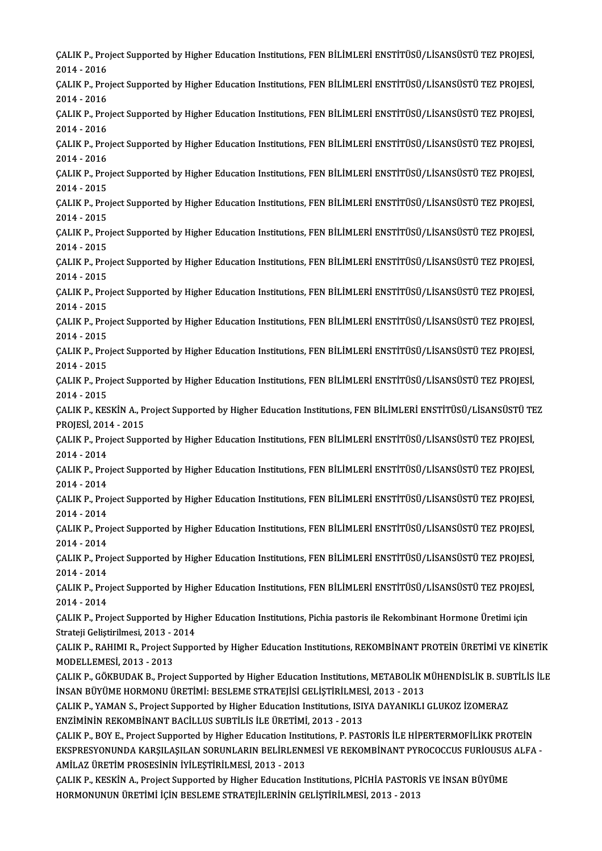ÇALIK P., Project Supported by Higher Education Institutions, FEN BİLİMLERİ ENSTİTÜSÜ/LİSANSÜSTÜ TEZ PROJESİ,<br>2014 - 2016 CALIK P., Pro<br>2014 - 2016<br>CALIK B., Pro ÇALIK P., Project Supported by Higher Education Institutions, FEN BİLİMLERİ ENSTİTÜSÜ/LİSANSÜSTÜ TEZ PROJESİ,<br>2014 - 2016<br>ÇALIK P., Project Supported by Higher Education Institutions, FEN BİLİMLERİ ENSTİTÜSÜ/LİSANSÜSTÜ TEZ 2014 - 2016<br>ÇALIK P., Project Supported by Higher Education Institutions, FEN BİLİMLERİ ENSTİTÜSÜ/LİSANSÜSTÜ TEZ PROJESİ,<br>2014 - 2016 ÇALIK P., Project Supported by Higher Education Institutions, FEN BİLİMLERİ ENSTİTÜSÜ/LİSANSÜSTÜ TEZ PROJESİ,<br>2014 - 2016<br>ÇALIK P., Project Supported by Higher Education Institutions, FEN BİLİMLERİ ENSTİTÜSÜ/LİSANSÜSTÜ TEZ 2014 - 2016<br>ÇALIK P., Pro<br>2014 - 2016<br>CALIK B., Pro ÇALIK P., Project Supported by Higher Education Institutions, FEN BİLİMLERİ ENSTİTÜSÜ/LİSANSÜSTÜ TEZ PROJESİ,<br>2014 - 2016<br>ÇALIK P., Project Supported by Higher Education Institutions, FEN BİLİMLERİ ENSTİTÜSÜ/LİSANSÜSTÜ TEZ 2014 - 2016<br>ÇALIK P., Pro<br>2014 - 2016<br>CALIK B., Pro ÇALIK P., Project Supported by Higher Education Institutions, FEN BİLİMLERİ ENSTİTÜSÜ/LİSANSÜSTÜ TEZ PROJESİ,<br>2014 - 2016<br>ÇALIK P., Project Supported by Higher Education Institutions, FEN BİLİMLERİ ENSTİTÜSÜ/LİSANSÜSTÜ TEZ 2014 - 2016<br>ÇALIK P., Pro<br>2014 - 2015<br>CALIK B., Pro ÇALIK P., Project Supported by Higher Education Institutions, FEN BİLİMLERİ ENSTİTÜSÜ/LİSANSÜSTÜ TEZ PROJESİ,<br>2014 - 2015<br>ÇALIK P., Project Supported by Higher Education Institutions, FEN BİLİMLERİ ENSTİTÜSÜ/LİSANSÜSTÜ TEZ 2014 - 2015<br>ÇALIK P., Project Supported by Higher Education Institutions, FEN BİLİMLERİ ENSTİTÜSÜ/LİSANSÜSTÜ TEZ PROJESİ,<br>2014 - 2015 ÇALIK P., Project Supported by Higher Education Institutions, FEN BİLİMLERİ ENSTİTÜSÜ/LİSANSÜSTÜ TEZ PROJESİ,<br>2014 - 2015<br>ÇALIK P., Project Supported by Higher Education Institutions, FEN BİLİMLERİ ENSTİTÜSÜ/LİSANSÜSTÜ TEZ 2014 - 2015<br>ÇALIK P., Pro<br>2014 - 2015<br>CALIK B., Pro ÇALIK P., Project Supported by Higher Education Institutions, FEN BİLİMLERİ ENSTİTÜSÜ/LİSANSÜSTÜ TEZ PROJESİ,<br>2014 - 2015<br>ÇALIK P., Project Supported by Higher Education Institutions, FEN BİLİMLERİ ENSTİTÜSÜ/LİSANSÜSTÜ TEZ 2014 - 2015<br>ÇALIK P., Pro<br>2014 - 2015<br>CALIK B., Pro ÇALIK P., Project Supported by Higher Education Institutions, FEN BİLİMLERİ ENSTİTÜSÜ/LİSANSÜSTÜ TEZ PROJESİ,<br>2014 - 2015<br>ÇALIK P., Project Supported by Higher Education Institutions, FEN BİLİMLERİ ENSTİTÜSÜ/LİSANSÜSTÜ TEZ 2014 - 2015<br>ÇALIK P., Pro<br>2014 - 2015<br>CALIK B., Pro ÇALIK P., Project Supported by Higher Education Institutions, FEN BİLİMLERİ ENSTİTÜSÜ/LİSANSÜSTÜ TEZ PROJESİ,<br>2014 - 2015<br>ÇALIK P., Project Supported by Higher Education Institutions, FEN BİLİMLERİ ENSTİTÜSÜ/LİSANSÜSTÜ TEZ 2014 - 2015<br>ÇALIK P., Project Supported by Higher Education Institutions, FEN BİLİMLERİ ENSTİTÜSÜ/LİSANSÜSTÜ TEZ PROJESİ,<br>2014 - 2015 ÇALIK P., Project Supported by Higher Education Institutions, FEN BİLİMLERİ ENSTİTÜSÜ/LİSANSÜSTÜ TEZ PROJESİ,<br>2014 - 2015<br>ÇALIK P., Project Supported by Higher Education Institutions, FEN BİLİMLERİ ENSTİTÜSÜ/LİSANSÜSTÜ TEZ 2014 - 2015<br>ÇALIK P., Pro<br>2014 - 2015<br>ÇALIK B., Pro ÇALIK P., Project Supported by Higher Education Institutions, FEN BİLİMLERİ ENSTİTÜSÜ/LİSANSÜSTÜ TEZ PROJESİ,<br>2014 - 2015<br>ÇALIK P., Project Supported by Higher Education Institutions, FEN BİLİMLERİ ENSTİTÜSÜ/LİSANSÜSTÜ TEZ 2014 - 2015<br>ÇALIK P., Project Supported by Higher Education Institutions, FEN BİLİMLERİ ENSTİTÜSÜ/LİSANSÜSTÜ TEZ PROJESİ,<br>2014 - 2015 ÇALIK P., Project Supported by Higher Education Institutions, FEN BİLİMLERİ ENSTİTÜSÜ/LİSANSÜSTÜ TEZ PROJESİ,<br>2014 - 2015<br>ÇALIK P., KESKİN A., Project Supported by Higher Education Institutions, FEN BİLİMLERİ ENSTİTÜSÜ/LİS 2014 - 2015<br>ÇALIK P., KESKİN A., P.<br>PROJESİ, 2014 - 2015<br>CALIK P. Broject Sunn ÇALIK P., KESKİN A., Project Supported by Higher Education Institutions, FEN BİLİMLERİ ENSTİTÜSÜ/LİSANSÜSTÜ TE<br>PROJESİ, 2014 - 2015<br>ÇALIK P., Project Supported by Higher Education Institutions, FEN BİLİMLERİ ENSTİTÜSÜ/LİSA PROJESİ, 2014 - 2015<br>ÇALIK P., Project Supported by Higher Education Institutions, FEN BİLİMLERİ ENSTİTÜSÜ/LİSANSÜSTÜ TEZ PROJESİ,<br>2014 - 2014 ÇALIK P., Project Supported by Higher Education Institutions, FEN BİLİMLERİ ENSTİTÜSÜ/LİSANSÜSTÜ TEZ PROJESİ,<br>2014 - 2014<br>ÇALIK P., Project Supported by Higher Education Institutions, FEN BİLİMLERİ ENSTİTÜSÜ/LİSANSÜSTÜ TEZ 2014 - 2014<br>ÇALIK P., Pro<br>2014 - 2014<br>CALIK B., Pro ÇALIK P., Project Supported by Higher Education Institutions, FEN BİLİMLERİ ENSTİTÜSÜ/LİSANSÜSTÜ TEZ PROJESİ,<br>2014 - 2014<br>ÇALIK P., Project Supported by Higher Education Institutions, FEN BİLİMLERİ ENSTİTÜSÜ/LİSANSÜSTÜ TEZ 2014 - 2014<br>ÇALIK P., Pro<br>2014 - 2014<br>CALIK B., Pro ÇALIK P., Project Supported by Higher Education Institutions, FEN BİLİMLERİ ENSTİTÜSÜ/LİSANSÜSTÜ TEZ PROJESİ,<br>2014 - 2014<br>ÇALIK P., Project Supported by Higher Education Institutions, FEN BİLİMLERİ ENSTİTÜSÜ/LİSANSÜSTÜ TEZ 2014 - 2014<br>ÇALIK P., Project Supported by Higher Education Institutions, FEN BİLİMLERİ ENSTİTÜSÜ/LİSANSÜSTÜ TEZ PROJESİ,<br>2014 - 2014 ÇALIK P., Project Supported by Higher Education Institutions, FEN BİLİMLERİ ENSTİTÜSÜ/LİSANSÜSTÜ TEZ PROJESİ,<br>2014 - 2014<br>ÇALIK P., Project Supported by Higher Education Institutions, FEN BİLİMLERİ ENSTİTÜSÜ/LİSANSÜSTÜ TEZ 2014 - 2014<br>ÇALIK P., Pro<br>2014 - 2014<br>CALIK B., Pro ÇALIK P., Project Supported by Higher Education Institutions, FEN BİLİMLERİ ENSTİTÜSÜ/LİSANSÜSTÜ TEZ PROJESİ,<br>2014 - 2014<br>ÇALIK P., Project Supported by Higher Education Institutions, FEN BİLİMLERİ ENSTİTÜSÜ/LİSANSÜSTÜ TEZ 2014 - 2014<br>ÇALIK P., Pro<br>2014 - 2014<br>CALIK B., Pro ÇALIK P., Project Supported by Higher Education Institutions, FEN BİLİMLERİ ENSTİTÜSÜ/LİSANSÜSTÜ TEZ PROJESİ<br>2014 - 2014<br>ÇALIK P., Project Supported by Higher Education Institutions, Pichia pastoris ile Rekombinant Hormone 2014 - 2014<br>ÇALIK P., Project Supported by Higher Education Institutions, Pichia pastoris ile Rekombinant Hormone Üretimi için<br>Strateji Geliştirilmesi, 2013 - 2014 ÇALIK P., Project Supported by Higher Education Institutions, Pichia pastoris ile Rekombinant Hormone Üretimi için<br>Strateji Geliştirilmesi, 2013 - 2014<br>ÇALIK P., RAHIMI R., Project Supported by Higher Education Institution Strateji Geliştirilmesi, 2013 - 2<br>ÇALIK P., RAHIMI R., Project S<br>MODELLEMESİ, 2013 - 2013<br>CALIK B. GÖKPUDAK B. Proj ÇALIK P., RAHIMI R., Project Supported by Higher Education Institutions, REKOMBİNANT PROTEİN ÜRETİMİ VE KİNETİK<br>MODELLEMESİ, 2013 - 2013<br>ÇALIK P., GÖKBUDAK B., Project Supported by Higher Education Institutions, METABOLİK MODELLEMESİ, 2013 - 2013<br>ÇALIK P., GÖKBUDAK B., Project Supported by Higher Education Institutions, METABOLİK M<br>İNSAN BÜYÜME HORMONU ÜRETİMİ: BESLEME STRATEJİSİ GELİŞTİRİLMESİ, 2013 - 2013<br>ÇALIK B. YAMAN S. Brajast Support ÇALIK P., GÖKBUDAK B., Project Supported by Higher Education Institutions, METABOLİK MÜHENDİSLİK B. SUE<br>İNSAN BÜYÜME HORMONU ÜRETİMİ: BESLEME STRATEJİSİ GELİŞTİRİLMESİ, 2013 - 2013<br>ÇALIK P., YAMAN S., Project Supported by İNSAN BÜYÜME HORMONU ÜRETİMİ: BESLEME STRATEJİSİ GELİŞTİRİLMESİ, 2013 - 2013<br>ÇALIK P., YAMAN S., Project Supported by Higher Education Institutions, ISIYA DAYANIKLI GLUKOZ İZOMERAZ<br>ENZİMİNİN REKOMBİNANT BACİLLUS SUBTİLİS İ ÇALIK P., YAMAN S., Project Supported by Higher Education Institutions, ISIYA DAYANIKLI GLUKOZ İZOMERAZ<br>ENZİMİNİN REKOMBİNANT BACİLLUS SUBTİLİS İLE ÜRETİMİ, 2013 - 2013<br>ÇALIK P., BOY E., Project Supported by Higher Educati ENZİMİNİN REKOMBİNANT BACİLLUS SUBTİLİS İLE ÜRETİMİ, 2013 - 2013<br>ÇALIK P., BOY E., Project Supported by Higher Education Institutions, P. PASTORİS İLE HİPERTERMOFİLİKK PROTEİN<br>EKSPRESYONUNDA KARŞILAŞILAN SORUNLARIN BELİRLE ÇALIK P., BOY E., Project Supported by Higher Education Institution Carl Extended Analysis<br>AMİLAZ ÜRETİM PROSESİNİN İYİLEŞTİRİLMESİ, 2013 - 2013<br>CALIK B. KESKİN A. Project Supported bu Hisber Education I. EKSPRESYONUNDA KARŞILAŞILAN SORUNLARIN BELİRLENMESİ VE REKOMBİNANT PYROCOCCUS FURİOUSUS ALFA -<br>AMİLAZ ÜRETİM PROSESİNIN İYİLEŞTİRİLMESİ, 2013 - 2013<br>ÇALIK P., KESKİN A., Project Supported by Higher Education Institutions, ÇALIK P., KESKİN A., Project Supported by Higher Education Institutions, PİCHİA PASTORİS VE İNSAN BÜYÜME